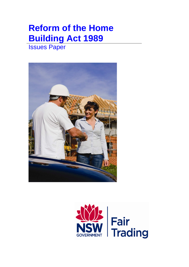# **Reform of the Home Building Act 1989**

Issues Paper



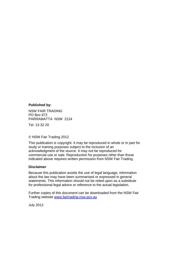**Published by:** 

NSW FAIR TRADING PO Box 972 PARRAMATTA NSW 2124

Tel. 13 32 20

© NSW Fair Trading 2012

This publication is copyright. It may be reproduced in whole or in part for study or training purposes subject to the inclusion of an acknowledgment of the source. It may not be reproduced for commercial use or sale. Reproduction for purposes other than those indicated above requires written permission from NSW Fair Trading.

### **Disclaimer**

Because this publication avoids the use of legal language, information about the law may have been summarised or expressed in general statements. This information should not be relied upon as a substitute for professional legal advice or reference to the actual legislation.

Further copies of this document can be downloaded from the NSW Fair Trading website www.fairtrading.nsw.gov.au

July 2012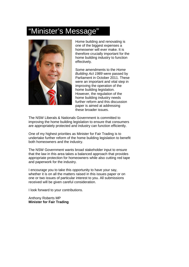# "Minister's Message"



Home building and renovating is one of the biggest expenses a homeowner will ever make. It is therefore crucially important for the home building industry to function effectively.

Some amendments to the Home Building Act 1989 were passed by Parliament in October 2011. These were an important and vital step in improving the operation of the home building legislation. However, the regulation of the home building industry needs further reform and this discussion paper is aimed at addressing these broader issues.

The NSW Liberals & Nationals Government is committed to improving the home building legislation to ensure that consumers are appropriately protected and industry can function efficiently.

One of my highest priorities as Minister for Fair Trading is to undertake further reform of the home building legislation to benefit both homeowners and the industry.

The NSW Government wants broad stakeholder input to ensure that the law in this area takes a balanced approach that provides appropriate protection for homeowners while also cutting red tape and paperwork for the industry.

I encourage you to take this opportunity to have your say, whether it is on all the matters raised in this issues paper or on one or two issues of particular interest to you. All submissions received will be given careful consideration.

I look forward to your contributions.

Anthony Roberts MP **Minister for Fair Trading**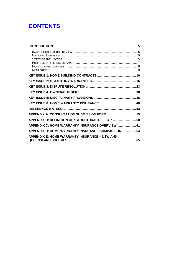# **CONTENTS**

| APPENDIX A: CONSULTATION SUBMISSION FORM  55       |  |
|----------------------------------------------------|--|
| APPENDIX B: DEFINITION OF "STRUCTURAL DEFECT"  60  |  |
| APPENDIX C: HOME WARRANTY INSURANCE OVERVIEW 61    |  |
| APPENDIX D: HOME WARRANTY INSURANCE COMPARISON  64 |  |
| APPENDIX E: HOME WARRANTY INSURANCE - NSW AND      |  |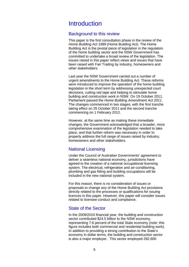# **Introduction**

### Background to this review

This paper is the first consultation phase in the review of the Home Building Act 1989 (Home Building Act). The Home Building Act is the pivotal piece of legislation in the regulation of the home building sector and the NSW Government has committed to undertake a broad review of the legislation. The issues raised in this paper reflect views and issues that have been raised with Fair Trading by industry, homeowners and other stakeholders.

Last year the NSW Government carried out a number of urgent amendments to the Home Building Act. These reforms were introduced to improve the operation of the home building legislation in the short term by addressing unexpected court decisions, cutting red tape and helping to stimulate home building and construction work in NSW. On 19 October 2011, Parliament passed the Home Building Amendment Act 2011. The changes commenced in two stages, with the first tranche taking effect on 25 October 2011 and the second tranche commencing on 1 February 2012.

However, at the same time as making these immediate changes, the Government acknowledged that a broader, more comprehensive examination of the legislation needed to take place, and that further reform was necessary in order to properly address the full range of issues raised by industry, homeowners and other stakeholders.

# National Licensing

Under the Council of Australian Governments' agreement to deliver a seamless national economy, jurisdictions have agreed to the creation of a national occupational licensing system. The electrical, refrigeration and air-conditioning, plumbing and gas fitting and building occupations will be included in the new national system.

For this reason, there is no consideration of issues or proposals to change any of the Home Building Act provisions directly related to the processes or qualifications for issuing licences in this paper. However, this paper will consider issues related to licensee conduct and compliance.

# State of the Sector

In the 2009/2010 financial year, the building and construction sector contributed \$24.5 billion to the NSW economy, representing 7.6 percent of the total State economy (note: this figure includes both commercial and residential building work). In addition to providing a strong contribution to the State's economy in dollar terms, the building and construction sector is also a major employer. This sector employed 292,600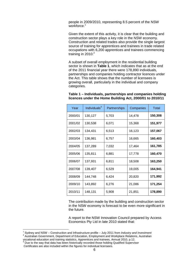people in 2009/2010, representing 8.5 percent of the NSW workforce.<sup>1</sup>

Given the extent of this activity, it is clear that the building and construction sector plays a key role in the NSW economy. Construction and related trades also provide the single largest source of training for apprentices and trainees in trade related occupations with 6,200 apprentices and trainees commencing training in 2010. $2$ 

A subset of overall employment in the residential building sector is shown in **Table 1**, which indicates that as at the end of the 2011 financial year there were 178,890 individuals, partnerships and companies holding contractor licences under the Act. This table shows that the number of licensees is growing overall, particularly in the individual and company categories.

| Year    | Individuals <sup>3</sup> | Partnerships | Companies | Total   |
|---------|--------------------------|--------------|-----------|---------|
| 2000/01 | 130,127                  | 5,703        | 14,478    | 150,308 |
| 2001/02 | 130,538                  | 6,071        | 15,368    | 151,977 |
| 2002/03 | 134,431                  | 6,513        | 16,123    | 157,067 |
| 2003/04 | 136,981                  | 6,757        | 16,665    | 160,403 |
| 2004/05 | 137,289                  | 7,032        | 17,464    | 161,785 |
| 2005/06 | 135,811                  | 6,881        | 17,778    | 160,470 |
| 2006/07 | 137,931                  | 6,811        | 18,508    | 163,250 |
| 2007/08 | 139,407                  | 6,529        | 19,005    | 164,941 |
| 2008/09 | 144,748                  | 6,424        | 20,820    | 171,992 |
| 2009/10 | 143,892                  | 6,276        | 21,086    | 171,254 |
| 2010/11 | 148,131                  | 5,908        | 21,851    | 178,890 |

### **Table 1 – Individuals, partnerships and companies holding licences under the Home Building Act, 2000/01 to 2010/11**

The contribution made by the building and construction sector in the NSW economy is forecast to be even more significant in the future.

A report to the NSW Innovation Council prepared by Access Economics Pty Ltd in late 2010 stated that:

 $1$  Sydney and NSW – Construction and Infrastructure profile – July 2011 from Industry and Investment <sup>2</sup> Australian Government, Department of Education, Employment and Workplace Relations, Australian

vocational education and training statistics, Apprentices and trainees, Annual 2010, p.12.<br><sup>3</sup> Due to the way that data has been historically recorded those holding Qualified Supervisor

Certificates are also included within the figures for individual licensees.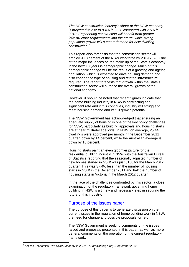The NSW construction industry's share of the NSW economy is projected to rise to 8.4% in 2020 compared with 7.6% in 2010. Engineering construction will benefit from greater infrastructure requirements into the future, while strong population growth will support demand for new dwelling construction.<sup>4</sup>

This report also forecasts that the construction sector will employ 9.18 percent of the NSW workforce by 2019/2020. One of the major influences on the make up of the State's economy in the next 10 years is demographic change. Much of this demographic change will be the result of a growing and ageing population, which is expected to drive housing demand and also change the type of housing and related infrastructure required. The report forecasts that growth within the State's construction sector will outpace the overall growth of the national economy.

However, it should be noted that recent figures indicate that the home building industry in NSW is contracting at a significant rate and if this continues, industry will struggle to meet housing demand and its full growth potential.

The NSW Government has acknowledged that ensuring an adequate supply of housing is one of the key policy challenges for NSW, particularly as building approvals and housing starts are at near multi-decade lows. In NSW, on average, 2,744 dwellings were approved per month in the December 2011 quarter, down by 14 percent, while the Australian average is down by 16 percent.

Housing starts paint an even gloomier picture for the residential building industry in NSW with the Australian Bureau of Statistics reporting that the seasonally adjusted number of new homes started in NSW was just 5158 for the March 2012 quarter. This was 37.4% less than the number of housing starts in NSW in the December 2011 and half the number of housing starts in Victoria in the March 2012 quarter.

In the face of the challenges confronted by this sector, a close examination of the regulatory framework governing home building in NSW is a timely and necessary step in securing the future of this industry.

# Purpose of the issues paper

The purpose of this paper is to generate discussion on the current issues in the regulation of home building work in NSW, the need for change and possible proposals for reform.

The NSW Government is seeking comments on the issues raised and proposals presented in this paper, as well as more general comments on the operation of the current regulatory framework.

 4 Access Economics, The NSW Economy in 2020 – A foresighting study, September 2010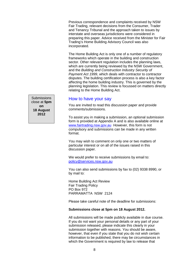Previous correspondence and complaints received by NSW Fair Trading, relevant decisions from the Consumer, Trader and Tenancy Tribunal and the approach taken to issues by interstate and overseas jurisdictions were considered in preparing this paper. Advice received from the Minister for Fair Trading's Home Building Advisory Council was also incorporated.

The Home Building Act is only one of a number of regulatory frameworks which operate in the building and construction sector. Other relevant regulation includes the planning laws, which are currently being reviewed by the NSW Government, and the Building and Construction Industry Security of Payment Act 1999, which deals with contractor to contractor disputes. The building certification process is also a key factor affecting the home building industry. This is governed by the planning legislation. This review is focussed on matters directly relating to the Home Building Act.

### How to have your say

You are invited to read this discussion paper and provide comments/submissions.

To assist you in making a submission, an optional submission form is provided at Appendix A and is also available online at www.fairtrading.nsw.gov.au However, this form is not compulsory and submissions can be made in any written format.

You may wish to comment on only one or two matters of particular interest or on all of the issues raised in this discussion paper.

We would prefer to receive submissions by email to: policy@services.nsw.gov.au

You can also send submissions by fax to (02) 9338 8990, or by mail to:

Home Building Act Review Fair Trading Policy PO Box 972 PARRAMATTA NSW 2124

Please take careful note of the deadline for submissions:

### **Submissions close at 5pm on 18 August 2012.**

All submissions will be made publicly available in due course. If you do not want your personal details or any part of your submission released, please indicate this clearly in your submission together with reasons. You should be aware, however, that even if you state that you do not wish certain information to be published, there may be circumstances in which the Government is required by law to release that

**Submissions** close at **5pm on 18 August 2012**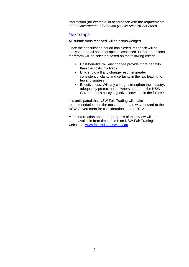information (for example, in accordance with the requirements of the Government Information (Public Access) Act 2009).

### Next steps

All submissions received will be acknowledged.

Once the consultation period has closed, feedback will be analysed and all potential options assessed. Preferred options for reform will be selected based on the following criteria:

- Cost benefits: will any change provide more benefits than the costs involved?
- Efficiency: will any change result in greater consistency, clarity and certainty in the law leading to fewer disputes?
- Effectiveness: Will any change strengthen the industry, adequately protect homeowners and meet the NSW Government's policy objectives now and in the future?

It is anticipated that NSW Fair Trading will make recommendations on the most appropriate way forward to the NSW Government for consideration later in 2012.

More information about the progress of the review will be made available from time to time on NSW Fair Trading's website at www.fairtrading.nsw.gov.au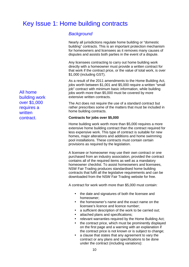# Key Issue 1: Home building contracts

### **Background**

Nearly all jurisdictions regulate home building or "domestic building" contracts. This is an important protection mechanism for homeowners and licensees as it removes many causes of disputes and assists both parties in the event of a dispute.

Any licensees contracting to carry out home building work directly with a homeowner must provide a written contract for that work if the contract price, or the value of total work, is over \$1,000 (including GST).

As a result of the 2011 amendments to the Home Building Act, jobs worth between \$1,001 and \$5,000 require a written "small job" contract with minimum basic information, while building jobs worth more than \$5,000 must be covered by more extensive written contracts.

The Act does not require the use of a standard contract but rather prescribes some of the matters that must be included in home building contracts.

### **Contracts for jobs over \$5,000**

Home building work worth more than \$5,000 requires a more extensive home building contract than the contract required for less expensive work. This type of contract is suitable for new homes, major alterations and additions and home swimming pool installations. These contracts must contain certain provisions as required by the legislation.

A licensee or homeowner may use their own contract or one purchased from an industry association, provided the contract contains all of the required items as well as a mandatory homeowner checklist. To assist homeowners and licensees, NSW Fair Trading produces standardised home building contracts that fulfil all the legislative requirements and can be downloaded from the NSW Fair Trading website for free.

A contract for work worth more than \$5,000 must contain:

- the date and signatures of both the licensee and homeowner;
- the homeowner's name and the exact name on the licensee's licence and licence number;
- a sufficient description of the work to be carried out:
- attached plans and specifications;
- relevant warranties required by the Home Building Act;
- the contract price, which must be prominently displayed on the first page and a warning with an explanation if the contract price is not known or is subject to change;
- a clause that states that any agreement to vary the contract or any plans and specifications to be done under the contract (including variations):

All home building work over \$1,000 requires a written contract.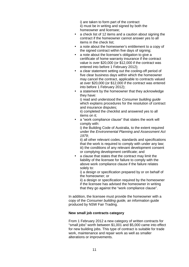i) are taken to form part of the contract ii) must be in writing and signed by both the homeowner and licensee;

- a check list of 12 items and a caution about signing the contract if the homeowner cannot answer yes to all items in the check list;
- a note about the homeowner's entitlement to a copy of the signed contract within five days of signing;
- a note about the licensee's obligation to give a certificate of home warranty insurance if the contract value is over \$20,000 (or \$12,000 if the contract was entered into before 1 February 2012);
- a clear statement setting out the cooling-off period of five clear business days within which the homeowner may cancel the contract, applicable to contracts valued at over \$20,000 (or \$12,000 if the contract was entered into before 1 February 2012);
- a statement by the homeowner that they acknowledge they have:

i) read and understood the Consumer building guide which explains procedures for the resolution of contract and insurance disputes;

ii) completed the checklist and answered yes to all items on it;

• a "work compliance clause" that states the work will comply with:

i) the Building Code of Australia, to the extent required under the Environmental Planning and Assessment Act 1979;

ii) all other relevant codes, standards and specifications that the work is required to comply with under any law; iii) the conditions of any relevant development consent or complying development certificate; and

• a clause that states that the contract may limit the liability of the licensee for failure to comply with the above work compliance clause if the failure relates solely to:

i) a design or specification prepared by or on behalf of the homeowner; or

ii) a design or specification required by the homeowner if the licensee has advised the homeowner in writing that they go against the "work compliance clause".

In addition, the licensee must provide the homeowner with a copy of the Consumer building guide, an information guide produced by NSW Fair Trading.

### **New small job contracts category**

From 1 February 2012 a new category of written contracts for "small jobs" worth between \$1,001 and \$5,000 came into effect for new building jobs. This type of contract is suitable for trade work, maintenance and repair work as well as smaller alterations or improvements.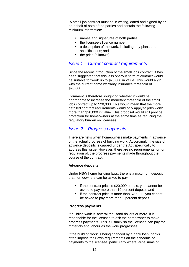A small job contract must be in writing, dated and signed by or on behalf of both of the parties and contain the following minimum information:

- names and signatures of both parties;
- the licensee's licence number;
- a description of the work, including any plans and specifications; and
- the price (if known).

### Issue 1 – Current contract requirements

Since the recent introduction of the small jobs contract, it has been suggested that this less onerous form of contract would be suitable for work up to \$20,000 in value. This would align with the current home warranty insurance threshold of \$20,000.

Comment is therefore sought on whether it would be appropriate to increase the monetary threshold of the small jobs contract up to \$20,000. This would mean that the more detailed contract requirements would only apply to jobs worth more than \$20,000 in value. This proposal would still provide protection for homeowners at the same time as reducing the regulatory burden on licensees.

### Issue 2 – Progress payments

There are risks when homeowners make payments in advance of the actual progress of building work. Accordingly, the size of advance deposits is capped under the Act specifically to address this issue. However, there are no requirements for, or regulation of, the progress payments made throughout the course of the contract.

### **Advance deposits**

Under NSW home building laws, there is a maximum deposit that homeowners can be asked to pay:

- if the contract price is \$20,000 or less, you cannot be asked to pay more than 10 percent deposit; and
- if the contract price is more than \$20,000, you cannot be asked to pay more than 5 percent deposit.

#### **Progress payments**

If building work is several thousand dollars or more, it is reasonable for the licensee to ask the homeowner to make progress payments. This is usually so the licensee can pay for materials and labour as the work progresses.

If the building work is being financed by a bank loan, banks often impose their own requirements on the schedule of payments to the licensee, particularly where large sums of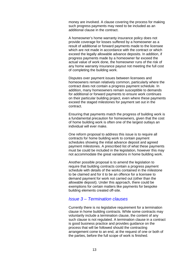money are involved. A clause covering the process for making such progress payments may need to be included as an additional clause in the contract.

A homeowner's home warranty insurance policy does not provide coverage for losses suffered by a homeowner as a result of additional or forward payments made to the licensee which are not made in accordance with the contract or which exceed the legally allowable advance deposits. In addition, if progress payments made by a homeowner far exceed the actual value of work done, the homeowner runs of the risk of any home warranty insurance payout not meeting the full cost of completing the building work.

Disputes over payment issues between licensees and homeowners remain relatively common, particularly where the contract does not contain a progress payment schedule. In addition, many homeowners remain susceptible to demands for additional or forward payments to ensure work continues on their particular building project, even where these payments exceed the staged milestones for payment set out in the contract.

Ensuring that payments match the progress of building work is a fundamental precaution for homeowners, given that the cost of home building work is often one of the largest outlays an individual will ever make.

One reform proposal to address this issue is to require all contracts for home building work to contain payment schedules showing the initial advance deposit and agreed payment milestones. A prescribed list of what these payments must be could be included in the legislation, however this may not accommodate the great variations in home building work.

Another possible proposal is to amend the legislation to require that building contracts contain a progress payment schedule with details of the works contained in the milestone to be claimed and for it to be an offence for a licensee to demand payment for work not carried out (other than the allowable deposit). Under this approach, there could be exemptions for certain matters like payments for bespoke building elements created off-site.

# Issue 3 – Termination clauses

Currently there is no legislative requirement for a termination clause in home building contracts. While some contracts may voluntarily include a termination clause, the content of any such clause is not regulated. A termination clause in a contract is good business practice and provides guidance on the process that will be followed should the contracting arrangement come to an end, at the request of one or both of the parties, before the full scope of work is finished.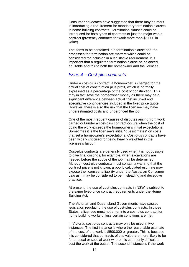Consumer advocates have suggested that there may be merit in introducing a requirement for mandatory termination clauses in home building contracts. Termination clauses could be introduced for both types of contracts or just the major works contract (presently contracts for work more than \$5,000 in value).

The items to be contained in a termination clause and the processes for termination are matters which could be considered for inclusion in a legislative requirement. It is important that a regulated termination clause be balanced, equitable and fair to both the homeowner and the licensee.

### Issue 4 – Cost-plus contracts

Under a cost-plus contract, a homeowner is charged for the actual cost of construction plus profit, which is normally expressed as a percentage of the cost of construction. This may in fact save the homeowner money as there may be a significant difference between actual cost incurred and speculative contingencies included in the fixed price quote. However, there is also the risk that the licensee may have underestimated costs and underpriced the job.

One of the most frequent causes of disputes arising from work carried out under a cost-plus contract occurs when the cost of doing the work exceeds the homeowner's initial expectations. Sometimes it is the licensee's initial "guesstimates" on costs that set a homeowner's expectations. Cost-plus contracts have been widely criticised for being heavily weighted in the licensee's favour.

Cost-plus contracts are generally used when it is not possible to give final costings, for example, when excavations are needed before the scope of the job may be determined. Although cost-plus contracts must contain a warning that the contract price is not known, a poorly calculated estimate may expose the licensee to liability under the Australian Consumer Law as it may be considered to be misleading and deceptive practice.

At present, the use of cost-plus contracts in NSW is subject to the same fixed-price contract requirements under the Home Building Act.

The Victorian and Queensland Governments have passed legislation regulating the use of cost-plus contracts. In those States, a licensee must not enter into a cost-plus contract for home building works unless certain conditions are met.

In Victoria, cost-plus contracts may only be used in two instances. The first instance is where the reasonable estimate of the cost of the work is \$500,000 or greater. This is because it is considered that contracts of this value are more likely to be for unusual or special work where it is commonly difficult to cost the work at the outset. The second instance is if the work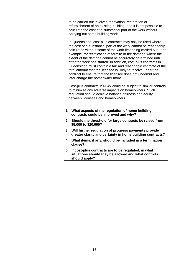to be carried out involves renovation, restoration or refurbishment of an existing building, and it is not possible to calculate the cost of a substantial part of the work without carrying out some building work.

In Queensland, cost-plus contracts may only be used where the cost of a substantial part of the work cannot be reasonably calculated without some of the work first being carried out  $-$  for example, for rectification of termite or fire damage where the extent of the damage cannot be accurately determined until after the work has started. In addition, cost-plus contracts in Queensland must contain a fair and reasonable estimate of the total amount that the licensee is likely to receive under the contract to ensure that the licensee does not underbid and later charge the homeowner more.

Cost-plus contracts in NSW could be subject to similar controls to minimise any adverse impacts on homeowners. Such regulation should achieve balance, fairness and equity between licensees and homeowners.

- **1. What aspects of the regulation of home building contracts could be improved and why?**
- **2. Should the threshold for large contracts be raised from \$5,000 to \$20,000?**
- **3. Will further regulation of progress payments provide greater clarity and certainty in home building contracts?**
- **4. What items, if any, should be included in a termination clause?**
- **5. If cost-plus contracts are to be regulated, in what situations should they be allowed and what controls should apply?**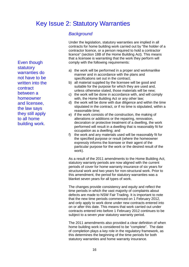# Key Issue 2: Statutory Warranties

### **Background**

Under the legislation, statutory warranties are implied in all contracts for home building work carried out by "the holder of a contractor licence, or a person required to hold a contractor licence" (section 18B of the Home Building Act). This means that a licensee is warranting that the work they perform will comply with the following requirements:

- a) the work will be performed in a proper and workmanlike manner and in accordance with the plans and specifications set out in the contract;
- b) all material supplied by the licensee will be good and suitable for the purpose for which they are used and, unless otherwise stated, those materials will be new;
- c) the work will be done in accordance with, and will comply with, the Home Building Act or any other law;
- d) the work will be done with due diligence and within the time stipulated in the contract, or if no time is stipulated, within a reasonable time;
- e) if the work consists of the construction, the making of alterations or additions or the repairing, renovation, decoration or protective treatment of a dwelling, the work performed will result in a dwelling that is reasonably fit for occupation as a dwelling; and
- f) the work and any materials used will be reasonably fit for the specified purpose or result (where the homeowner expressly informs the licensee or their agent of the particular purpose for the work or the desired result of the work).

As a result of the 2011 amendments to the Home Building Act, statutory warranty periods are now aligned with the current periods of cover for home warranty insurance of six years for structural work and two years for non-structural work. Prior to this amendment, the period for statutory warranties was a blanket seven years for all types of work.

The changes provide consistency and equity and reflect the time periods in which the vast majority of complaints about defects are made to NSW Fair Trading. It is important to note that the new time periods commenced on 1 February 2012, and only apply to work done under new contracts entered into on or after this date. This means that work carried out under contracts entered into before 1 February 2012 continues to be subject to a seven year statutory warranty period.

The 2011 amendments also provided a clear definition of when home building work is considered to be "complete". The date of completion plays a key role in the regulatory framework, as this determines the beginning of the time periods for both statutory warranties and home warranty insurance.

Even though statutory warranties do not have to be written into the contract between a homeowner and licensee, the law says they still apply to all home building work.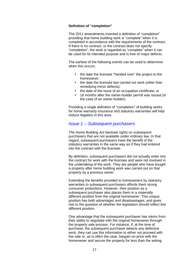### **Definition of "completion"**

The 2011 amendments inserted a definition of "completion" providing that home building work is "complete" when it is completed in accordance with the requirements of the contract. If there is no contract, or the contract does not specify "completion", the work is regarded as "complete" when it can be used for its intended purpose and is free of major defects.

The earliest of the following events can be used to determine when this occurs:

- the date the licensee "handed over" the project to the homeowner;
- the date the licensee last carried out work (other than remedying minor defects);
- the date of the issue of an occupation certificate; or
- 18 months after the owner-builder permit was issued (in the case of an owner-builder).

Providing a single definition of "completion" of building works for home warranty insurance and statutory warranties will help reduce litigation in this area.

### Issue 1 – Subsequent purchasers

The Home Building Act bestows rights on subsequent purchasers that are not available under ordinary law. In that regard, subsequent purchasers have the benefit of the statutory warranties in the same way as if they had entered into the contract with the licensee.

By definition, subsequent purchasers did not actually enter into the contract for work with the licensee and were not involved in the undertaking of the work. They are people who have bought a property after home building work was carried out on that property by a previous owner.

Extending the benefits provided to homeowners by statutory warranties to subsequent purchasers affords them strong consumer protections. However, their position as a subsequent purchaser also places them in a materially different position from the original homeowner. This unique position has both advantages and disadvantages, and gives rise to the question of whether the legislation should reflect this different position.

One advantage that the subsequent purchaser has stems from their ability to negotiate with the original homeowner through the property sale process. For instance, if, at the time of purchase, the subsequent purchaser detects any defective work, they can use this information to either not proceed with the sale or, as is often the case, bargain on price with the homeowner and secure the property for less than the asking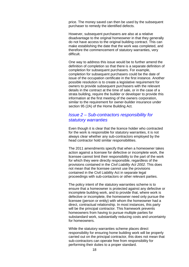price. The money saved can then be used by the subsequent purchaser to remedy the identified defects.

However, subsequent purchasers are also at a relative disadvantage to the original homeowner in that they generally do not have access to the original building contract. This can make establishing the date that the work was completed, and therefore the commencement of statutory warranties, very difficult.

One way to address this issue would be to further amend the definition of completion so that there is a separate definition of completion for subsequent purchasers. For example, completion for subsequent purchasers could be the date of issue of the occupation certificate in the first instance. Another possible resolution is to create a legislative requirement for owners to provide subsequent purchasers with the relevant details in the contract at the time of sale, or in the case of a strata building, require the builder or developer to provide this information at the first meeting of the owners corporation, similar to the requirement for owner-builder insurance under section 95 (2A) of the Home Building Act.

# Issue 2 – Sub-contractors responsibility for statutory warranties

Even though it is clear that the licence holder who contracted for the work is responsible for statutory warranties, it is not always clear whether any sub-contractors employed by the head contractor hold similar responsibilities.

The 2011 amendments specify that when a homeowner takes action against a licensee for defective or incomplete work, the licensee cannot limit their responsibility to the part of the work for which they were directly responsible, regardless of the provisions contained in the Civil Liability Act 2002. This does not mean that the licensee cannot use the provisions contained in the Civil Liability Act in separate legal proceedings with sub-contactors or other relevant parties.

The policy intent of the statutory warranties scheme is to ensure that a homeowner is protected against any defective or incomplete building work, and to provide that, where work is defective or incomplete, the homeowner need only pursue the licensee (person or entity) with whom the homeowner had a direct, contractual relationship. In most instances, this party will be the principal contractor. This framework prevents homeowners from having to pursue multiple parties for substandard work, substantially reducing costs and uncertainty for homeowners.

While the statutory warranties scheme places direct responsibility for ensuring home building work will be properly carried out on the principal contractor, this does not mean that sub-contractors can operate free from responsibility for performing their duties to a proper standard.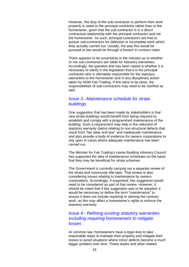However, the duty of the sub-contractor to perform their work properly is owed to the principal contractor rather than to the homeowner, given that the sub-contractor is in a direct contractual relationship with the principal contractor and not the homeowner. As such, principal contractors are free to pursue sub-contractors for defective or incomplete work which they actually carried out. Usually, the way this would be pursued at law would be through a breach in contract claim.

There appears to be uncertainty in the industry as to whether or not sub-contractors are liable for statutory warranties. Accordingly, the question that has been raised is whether it is necessary to clarify in the legislation that it is the principal contractor who is ultimately responsible for the statutory warranties to the homeowner and in any disciplinary action taken by NSW Fair Trading. If this were to be done, the responsibilities of sub-contractors may need to be clarified as well.

# Issue 3 –Maintenance schedule for strata **buildings**

One suggestion that has been made by stakeholders is that new strata buildings would benefit from being required to establish and comply with a programmed maintenance of the building. Such a requirement may help in the reduction of statutory warranty claims relating to non-structural defects that result from "fair wear and tear" and inadequate maintenance, and also provide a body of evidence for owners corporations to rely upon in cases where adequate maintenance has been carried out.

The Minister for Fair Trading's Home Building Advisory Council has supported the idea of maintenance schedules on the basis that they may be beneficial for strata schemes.

The Government is currently carrying out a separate review of the strata and community title laws. That review is also considering issues relating to maintenance by owners corporations. Accordingly, if supported, this suggestion would need to be considered as part of that review. However, it should be noted that if this suggestion was to be adopted, it would be necessary to define the term "maintenance" to ensure it does not include repairing or altering the contract work, as this may affect a homeowner's rights to enforce the statutory warranty.

# Issue 4 - Refining existing statutory warranties including requiring homeowners to mitigate losses

At common law, homeowners have a legal duty to take reasonable steps to maintain their property and mitigate their losses to avoid situations where minor defects become a much bigger problem over time. These duties and other related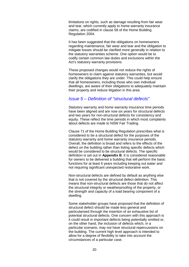limitations on rights, such as damage resulting from fair wear and tear, which currently apply to home warranty insurance claims, are codified in clause 58 of the Home Building Regulation 2004.

It has been suggested that the obligations on homeowners regarding maintenance, fair wear and tear and the obligation to mitigate losses should be clarified more generally in relation to the statutory warranties scheme. One option would be to codify certain common law duties and exclusions within the Act's statutory warranty provisions.

These proposed changes would not reduce the rights of homeowners to claim against statutory warranties, but would clarify the obligations they are under. This could help ensure that all homeowners, including those who own individual dwellings, are aware of their obligations to adequately maintain their property and reduce litigation in this area.

# Issue 5 – Definition of "structural defects"

Statutory warranty and home warranty insurance time periods have been aligned and are now six years for structural defects and two years for non-structural defects for consistency and equity. These reflect the time periods in which most complaints about defects are made to NSW Fair Trading.

Clause 71 of the Home Building Regulation prescribes what is considered to be a structural defect for the purposes of the statutory warranty and home warranty insurance periods. Overall, the definition is broad and refers to the effects of the defect on the building rather than listing specific defects which would be considered to be structural defects. The specific definition is set out in **Appendix B**. It is considered reasonable for owners to be delivered a building that will perform the basic functions for at least 6 years including keeping out water and not requiring significant unexpected restorative work.

Non-structural defects are defined by default as anything else that is not covered by the structural defect definition. This means that non-structural defects are those that do not affect the structural integrity or weatherproofing of the property, or the strength and capacity of a load bearing component of a dwelling.

Some stakeholder groups have proposed that the definition of structural defect should be made less general and particularised through the insertion of an exhaustive list of potential structural defects. One concern with this approach is it could result in important defects being potentially omitted or, on the other hand, the inclusion of defects which, in a particular scenario, may not have structural repercussions on the building. The current high level approach is intended to allow for a degree of flexibility to take into account the circumstances of a particular case.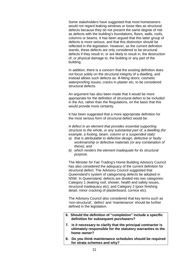Some stakeholders have suggested that most homeowners would not regard leaking windows or loose tiles as structural defects because they do not present the same degree of risk as defects with the building's foundations, floors, walls, roofs, columns or beams. It has been argued that this latter group of defects is more serious, and that this distinction should be reflected in the legislation. However, as the current definition stands, these defects are only considered to be structural defects if they result in, or are likely to result in, the destruction of, or physical damage to, the building or any part of the building.

In addition, there is a concern that the existing definition does not focus solely on the structural integrity of a dwelling, and instead allows such defects as: ill-fitting doors; cosmetic waterproofing issues; cracks in plaster etc, to be considered structural defects.

An argument has also been made that it would be more appropriate for the definition of structural defect to be included in the Act, rather than the Regulations, on the basis that this would provide more certainty.

It has been suggested that a more appropriate definition for the most serious form of structural defect would be:

A defect in an element that provides essential supporting structure to the whole, or any substantial part of, a dwelling (for example, a footing, beam, column or a suspended slab):

- a) that is attributable to defective design, defective or faulty workmanship or defective materials (or any combination of these); and
- b) which renders the element inadequate for its structural purpose.

The Minister for Fair Trading's Home Building Advisory Council has also considered the adequacy of the current definition for structural defect. The Advisory Council suggested that Queensland's system of categorising defects be adopted in NSW. In Queensland, defects are divided into two categories: Category 1 (leaking roof, shower, health and safety issues, structural inadequacy etc); and Category 2 (poor finishing detail, minor cracking of plasterboard, cornice etc).

The Advisory Council also considered that key terms such as 'non-structural', 'defect' and 'maintenance' should be further defined in the legislation.

- **6. Should the definition of "completion" include a specific definition for subsequent purchasers?**
- **7. Is it necessary to clarify that the principal contractor is ultimately responsible for the statutory warranties to the home owner?**
- **8. Do you think maintenance schedules should be required for strata schemes and why?**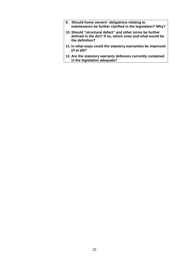- **9. Should home owners' obligations relating to maintenance be further clarified in the legislation? Why?**
- **10. Should "structural defect" and other terms be further defined in the Act? If so, which ones and what would be the definition?**
- **11. In what ways could the statutory warranties be improved (if at all)?**
- **12. Are the statutory warranty defences currently contained in the legislation adequate?**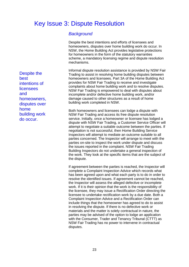# Key Issue 3: Dispute Resolution

### **Background**

Despite the best intentions and efforts of licensees and homeowners, disputes over home building work do occur. In NSW, the Home Building Act provides legislative protections for homeowners in the form of the statutory warranties scheme, a mandatory licensing regime and dispute resolution mechanisms.

Informal dispute resolution assistance is provided by NSW Fair Trading to assist in resolving home building disputes between homeowners and licensees. Part 3A of the Home Building Act provides for NSW Fair Trading to receive and investigate complaints about home building work and to resolve disputes. NSW Fair Trading is empowered to deal with disputes about incomplete and/or defective home building work, and/or damage caused to other structures as a result of home building work completed in NSW.

Both homeowners and licensees can lodge a dispute with NSW Fair Trading and access its free dispute resolution service. Initially, once a homeowner or licensee has lodged a dispute with NSW Fair Trading, a Customer Service Officer will attempt to negotiate a suitable outcome between the parties. If negotiation is not successful, then Home Building Service Inspectors will attempt to mediate an outcome suitable to all parties concerned. The Inspector will arrange to meet with the parties on-site to inspect the work under dispute and discuss the issues reported in the complaint. NSW Fair Trading Building Inspectors do not undertake a general inspection of the work. They look at the specific items that are the subject of the dispute.

If agreement between the parties is reached, the Inspector will complete a Complaint Inspection Advice which records what has been agreed upon and what each party is to do in order to resolve the identified issues. If agreement cannot be reached, the Inspector will assess the alleged defective or incomplete work. If it is their opinion that the work is the responsibility of the licensee, they may issue a Rectification Order directing the licensee to undertake rectification work by a due date. Both a Complaint Inspection Advice and a Rectification Order can include things that the homeowner has agreed to do to assist in resolving the dispute. If there is no defective work or materials and the matter is solely contractual in nature, the parties may be advised of the option to lodge an application with the Consumer, Trader and Tenancy Tribunal (CTTT) as NSW Fair Trading has no power to intervene in contractual disputes.

Despite the best intentions of **licensees** and homeowners, disputes over home building work do occur.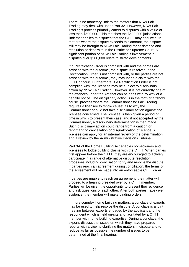There is no monetary limit to the matters that NSW Fair Trading may deal with under Part 3A. However, NSW Fair Trading's process primarily caters to disputes with a value of less than \$500,000. This matches the \$500,000 jurisdictional limit that applies to disputes that the CTTT may deal with. In matters where the dispute exceeds this amount, the dispute still may be brought to NSW Fair Trading for assistance and resolution or dealt with in the District or Supreme Court. A significant portion of NSW Fair Trading's involvement in disputes over \$500,000 relate to strata developments.

If a Rectification Order is complied with and the parties are satisfied with the outcome, the dispute is resolved. If the Rectification Order is not complied with, or the parties are not satisfied with the outcome, they may lodge a claim with the CTTT or court. Furthermore, if a Rectification Order is not complied with, the licensee may be subject to disciplinary action by NSW Fair Trading. However, it is not currently one of the offences under the Act that can be dealt with by way of a penalty notice. The disciplinary action is in the form of a "show cause" process where the Commissioner for Fair Trading requires a licensee to "show cause" as to why the Commissioner should not take disciplinary action against the licensee concerned. The licensee is then given a period of time in which to present their case, and if not accepted by the Commissioner, a disciplinary determination is then made. Such disciplinary action could range from a caution or reprimand to cancellation or disqualification of licence. A licensee can apply for an internal review of the determination and a review by the Administrative Decisions Tribunal.

Part 3A of the Home Building Act enables homeowners and licensees to lodge building claims with the CTTT. When parties first appear before the CTTT, they are encouraged to actively participate in a range of alternative dispute resolution processes including conciliation to try and resolve the dispute. If parties reach an agreement during conciliation, the terms of the agreement will be made into an enforceable CTTT order.

If parties are unable to reach an agreement, the matter will proceed to a hearing presided over by a CTTT member. Parties will be given the opportunity to present their evidence and ask questions of each other. After both parties have given evidence, the member will make binding orders.

In more complex home building matters, a conclave of experts may be used to help resolve the dispute. A conclave is a joint meeting between experts engaged by the applicant and the respondent which is held on-site and facilitated by a CTTT member with home building expertise. During a conclave, the experts discuss the issues on which they have prepared reports with a view to clarifying the matters in dispute and to reduce as far as possible the number of issues to be determined at the final hearing.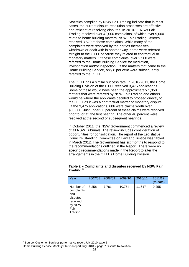Statistics compiled by NSW Fair Trading indicate that in most cases, the current dispute resolution processes are effective and efficient at resolving disputes. In 2010-11 NSW Fair Trading received over 42,000 complaints, of which over 9,000 relate to home building matters. NSW Fair Trading Centres resolved 3,529 of these complaints. While many of the complaints were resolved by the parties themselves, withdrawn or dealt with in another way, some were referred straight to the CTTT because they related to contractual or monetary matters. Of these complaints, over 2,500 were referred to the Home Building Service for mediation, investigation and/or inspection. Of the matters that came to the Home Building Service, only 8 per cent were subsequently referred to the CTTT.

The CTTT has a similar success rate. In 2010-2011, the Home Building Division of the CTTT received 3,475 applications. Some of these would have been the approximately 1,350 matters that were referred by NSW Fair Trading and others would be where the applicants decided to proceed directly to the CTTT as it was a contractual matter or monetary dispute. Of the 3,475 applications, 606 were claims worth over \$30,000. Just under 60 percent of these claims were resolved prior to, or at, the first hearing. The other 40 percent were resolved at the second or subsequent hearings.

In October 2011, the NSW Government commenced a review of all NSW Tribunals. The review includes consideration of opportunities for consolidation. The report of the Legislative Council's Standing Committee on Law and Justice was tabled in March 2012. The Government has six months to respond to the recommendations outlined in the Report. There were no specific recommendations made in the Report to alter the arrangements in the CTTT's Home Building Division.

| Year                                                                                | 2007/08 | 2008/09 | 2009/10 | 2010/11 | 2011/12<br>(to date) |
|-------------------------------------------------------------------------------------|---------|---------|---------|---------|----------------------|
| Number of<br>complaints<br>and<br>disputes<br>received<br>by NSW<br>Fair<br>Trading | 8,258   | 7,781   | 10,754  | 11,617  | 9,255                |

#### **Table 2 – Complaints and disputes received by NSW Fair Trading <sup>5</sup>**

 $<sup>5</sup>$  Source: Customer Services performance report July 2010 page 2</sup>

Home Building Service Monthly Status Report July 2010 – page 7 Dispute Resolution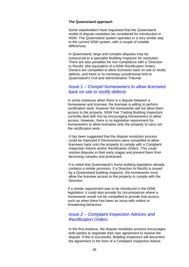### **The Queensland approach**

Some stakeholders have requested that the Queensland model of dispute resolution be considered for introduction in NSW. The Queensland system operates in a very similar way to the current NSW system, with a couple of notable differences.

In Queensland, large and complex disputes may be outsourced to a specialist Building Inspector for resolution. There are also penalties for non-compliance with a 'Direction to Rectify' (the equivalent of a NSW Rectification Order). Owners are compelled to allow licensees back on site to rectify defects, and there is no monetary jurisdictional limit to Queensland's Civil and Administrative Tribunal.

# Issue 1 – Compel homeowners to allow licensees back on site to rectify defects

In some instances when there is a dispute between a homeowner and licensee, the licensee is willing to perform rectification work, however the homeowner will not allow them access to the property. NSW Fair Trading Building Inspectors currently deal with this by encouraging homeowners to allow access. However, there is no legislative requirement for homeowners to allow licensees onto the property to carry out the rectification work.

It has been suggested that the dispute resolution process could be improved if homeowners were compelled to allow licensees back onto the property to comply with a Complaint Inspection Advice and/or Rectification Orders. This could resolve disputes in their early stages and prevent them from becoming complex and protracted.

It is noted that Queensland's home building legislation already contains a similar provision. If a Direction to Rectify is issued by a Queensland building inspector, the homeowner must allow the licensee access to the property to comply with the Direction.

If a similar requirement was to be introduced in the NSW legislation, it could also provide for circumstances where a homeowner would not be compelled to provide that access, such as when there has been an issue with violent or threatening behaviour.

# Issue 2 – Complaint Inspection Advices and Rectification Orders

In the first instance, the dispute resolution process encourages both parties to negotiate their own agreement to resolve the dispute. If this is successful, Building Inspectors will document the agreement in the form of a Complaint Inspection Advice.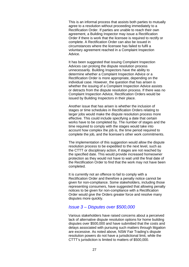This is an informal process that assists both parties to mutually agree to a resolution without proceeding immediately to a Rectification Order. If parties are unable to reach their own agreement, a Building Inspector may issue a Rectification Order if there is work that the licensee is required to rectify or complete. A Rectification Order can also be issued in circumstances where the licensee has failed to fulfil a voluntary agreement reached in a Complaint Inspection Advice.

It has been suggested that issuing Complaint Inspection Advices can prolong the dispute resolution process unnecessarily. Building Inspectors have the ability to determine whether a Complaint Inspection Advice or a Rectification Order is more appropriate, depending on the individual case. However, the question that has arisen is whether the issuing of a Complaint Inspection Advice assists or detracts from the dispute resolution process. If there was no Complaint Inspection Advice, Rectification Orders would be issued by Building Inspectors in their place.

Another issue that has arisen is whether the inclusion of stages or time schedules in Rectification Orders relating to larger jobs would make the dispute resolution process more effective. This could include specifying a date that certain works have to be completed by. The number of stages and the time required to comply with the stages would take into account how complex the job is, the time period required to complete the job, and the licensee's other work commitments.

The implementation of this suggestion would allow the dispute resolution process to be expedited to the next level, such as the CTTT or disciplinary action, if stages are not reached by the specified date. This would provide increased homeowner protection as they would not have to wait until the final date of the Rectification Order to find that the work may not have been completed.

It is currently not an offence to fail to comply with a Rectification Order and therefore a penalty notice cannot be given for non-compliance. Some stakeholders, including those representing consumers, have suggested that allowing penalty notices to be given for non-compliance with a Rectification Order would give the Orders greater force and resolve many disputes more quickly.

# Issue 3 – Disputes over \$500,000

Various stakeholders have raised concerns about a perceived lack of alternative dispute resolution options for home building disputes over \$500,000 and have submitted that the costs and delays associated with pursuing such matters through litigation are excessive. As noted above, NSW Fair Trading's dispute resolution powers do not have a jurisdictional limit, while the CTTT's jurisdiction is limited to matters of \$500,000.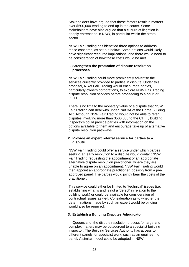Stakeholders have argued that these factors result in matters over \$500,000 tending to end up in the courts. Some stakeholders have also argued that a culture of litigation is deeply entrenched in NSW, in particular within the strata sector.

NSW Fair Trading has identified three options to address these concerns, as set out below. Some options would likely have significant resource implications, and there would need to be consideration of how these costs would be met.

### **1. Strengthen the promotion of dispute resolution processes**

NSW Fair Trading could more prominently advertise the services currently provided to parties in dispute. Under this proposal, NSW Fair Trading would encourage parties, particularly owners corporations, to explore NSW Fair Trading dispute resolution services before proceeding to a court or CTTT.

There is no limit to the monetary value of a dispute that NSW Fair Trading can deal with under Part 3A of the Home Building Act. Although NSW Fair Trading would not be able to refer disputes involving more than \$500,000 to the CTTT, Building Inspectors could provide parties with information on the options available to them and encourage take up of alternative dispute resolution pathways.

### **2. Provide an expert referral service for parties to a dispute**

NSW Fair Trading could offer a service under which parties seeking an early resolution to a dispute would contact NSW Fair Trading requesting the appointment of an appropriate alternative dispute resolution practitioner, where they are unable to agree on an appointment. NSW Fair Trading would then appoint an appropriate practitioner, possibly from a preapproved panel. The parties would jointly bear the costs of the practitioner.

This service could either be limited to "technical" issues (i.e. establishing what is and is not a 'defect' in relation to the building work) or could be available for consideration of contractual issues as well. Consideration as to whether the determinations made by such an expert would be binding would also be required.

### **3. Establish a Building Disputes Adjudicator**

In Queensland, the dispute resolution process for large and complex matters may be outsourced to a specialist building inspector. The Building Services Authority has access to different panels for specialist work, such as an engineering panel. A similar model could be adopted in NSW.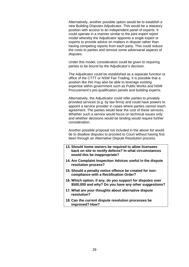Alternatively, another possible option would be to establish a new Building Disputes Adjudicator. This would be a statutory position with access to an independent panel of experts. It could operate in a manner similar to the joint expert report model whereby the Adjudicator appoints a single expert or experts to provide advice on matters in dispute rather than having competing reports from each party. This could reduce the costs to parties and remove some adversarial aspects of disputes.

Under this model, consideration could be given to requiring parties to be bound by the Adjudicator's decision.

The Adjudicator could be established as a separate function or office of the CTTT or NSW Fair Trading. It is possible that a position like this may also be able to leverage existing expertise within government such as Public Works and NSW Procurement's pre-qualification panels and building experts.

Alternatively, the Adjudicator could refer parties to privately provided services (e.g. by law firms) and could have powers to appoint a service provider in cases where parties cannot reach agreement. The parties would bear the cost of these services. Whether such a service would focus on technical issues only and whether decisions would be binding would require further consideration.

Another possible proposal not included in the above list would be to disallow disputes to proceed to Court without having first been through an Alternative Dispute Resolution process.

- **13. Should home owners be required to allow licensees back on site to rectify defects? In what circumstances would this be inappropriate?**
- **14. Are Complaint Inspection Advices useful in the dispute resolution process?**
- **15. Should a penalty notice offence be created for noncompliance with a Rectification Order?**
- **16. Which option, if any, do you support for disputes over \$500,000 and why? Do you have any other suggestions?**
- **17. What are your thoughts about alternative dispute resolution?**
- **18. Can the current dispute resolution processes be improved? How?**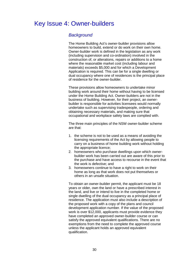# Key Issue 4: Owner-builders

### **Background**

The Home Building Act's owner-builder provisions allow homeowners to build, extend or do work on their own home. Owner-builder work is defined in the legislation as any work (including supervision and co-ordination) involved in the construction of, or alterations, repairs or additions to a home where the reasonable market cost (including labour and materials) exceeds \$5,000 and for which a Development Application is required. This can be for a single dwelling or dual occupancy where one of residences is the principal place of residence for the owner-builder.

These provisions allow homeowners to undertake minor building work around their home without having to be licensed under the Home Building Act. Owner-builders are not in the business of building. However, for their project, an ownerbuilder is responsible for activities licensees would normally undertake such as supervising tradespeople, ordering and obtaining necessary materials, and making sure that occupational and workplace safety laws are complied with.

The three main principles of the NSW owner-builder scheme are that:

- 1. the scheme is not to be used as a means of avoiding the licensing requirements of the Act by allowing people to carry on a business of home building work without holding the appropriate licence;
- 2. homeowners who purchase dwellings upon which ownerbuilder work has been carried out are aware of this prior to the purchase and have access to recourse in the event that the work is defective; and
- 3. homeowners continue to have a right to work on their home as long as that work does not put themselves or others in an unsafe situation.

To obtain an owner-builder permit, the applicant must be 18 years or older, own the land or have a prescribed interest in the land, and live or intend to live in the completed home or single dwelling of the dual occupancy as a principal place of residence. The application must also include a description of the proposed work with a copy of the plans and council development application number. If the value of the proposed work is over \$12,000, applicants must provide evidence they have completed an approved owner-builder course or can satisfy the approved equivalent qualifications. There are no exemptions from the need to complete the approved course unless the applicant holds an approved equivalent qualification.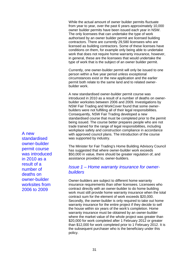While the actual amount of owner builder permits fluctuate from year to year, over the past 6 years approximately 10,000 owner builder permits have been issued each year in NSW. The only licensees that can undertake the type of work authorised by an owner builder permit are licensed building contractors. There are currently 29,580 licensees who are licensed as building contractors. Some of these licenses have conditions on them, for example only being able to undertake work that does not require home warranty insurance, however, in general, these are the licensees that would undertake the type of work that is the subject of an owner builder permit.

Currently, one owner-builder permit will only be issued to one person within a five year period unless exceptional circumstances exist or the new application and the earlier permit both relate to the same land and to related ownerbuilder work.

A new standardised owner-builder permit course was introduced in 2010 as a result of a number of deaths on ownerbuilder worksites between 2006 and 2009. Investigations by NSW Fair Trading and WorkCover found that some ownerbuilders were not fulfilling all of their legal responsibilities. Consequently, NSW Fair Trading developed a new standardised course that must be completed prior to the permit being issued. The course better prepares people who are not trade trained for the range of legal responsibilities, including workplace safety and construction compliance in accordance with approved council plans. The introduction of the course was supported by industry.

The Minister for Fair Trading's Home Building Advisory Council has suggested that where owner-builder work exceeds \$50,000 in value, there should be greater regulation of, and assistance provided to, owner-builders.

# Issue 1 – Home warranty insurance for ownerbuilders

Owner-builders are subject to different home warranty insurance requirements than other licensees. Licensees who contract directly with an owner-builder to do home building work must still provide home warranty insurance when the total contract sum for the element of work exceeds \$20,000. Secondly, the owner-builder is only required to take out home warranty insurance for the entire project if they decide to sell the house within six years of the work's completion. Home warranty insurance must be obtained by an owner-builder where the market value of the whole project was greater than \$20,000 for work completed after 1 February 2012 or greater than \$12,000 for work completed prior to 1 February 2012. It is the subsequent purchaser who is the beneficiary under this policy.

A new standardised owner-builder permit course was introduced in 2010 as a result of a number of deaths on owner-builder worksites from 2006 to 2009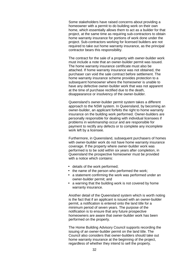Some stakeholders have raised concerns about providing a homeowner with a permit to do building work on their own home, which essentially allows them to act as a builder for that project, at the same time as requiring sub-contractors to obtain home warranty insurance for portions of work done under the project. Sub-contractors working for licensed builders are not required to take out home warranty insurance, as the principal contractor bears this responsibility.

The contract for the sale of a property with owner-builder work must include a note that an owner-builder permit was issued. The home warranty insurance certificate must also be attached. If home warranty insurance was not obtained, the purchaser can void the sale contract before settlement. The home warranty insurance scheme provides protection to a subsequent homeowner where the homeowner is unable to have any defective owner-builder work that was not apparent at the time of purchase rectified due to the death, disappearance or insolvency of the owner-builder.

Queensland's owner-builder permit system takes a different approach to the NSW system. In Queensland, by becoming an owner-builder, an applicant forfeits the right to home warranty insurance on the building work performed. Owner-builders are personally responsible for dealing with individual licensees if problems in workmanship occur and are responsible for payment to rectify any defects or to complete any incomplete work left by a licensee.

Furthermore, in Queensland, subsequent purchasers of homes with owner-builder work do not have home warranty insurance coverage. If the property where owner-builder work was performed is to be sold within six years after completion, in Queensland the prospective homeowner must be provided with a notice which contains:

- details of the work performed;
- the name of the person who performed the work;
- a statement confirming the work was performed under an owner-builder permit; and
- a warning that the building work is not covered by home warranty insurance.

Another detail of the Queensland system which is worth noting is the fact that if an applicant is issued with an owner-builder permit, a notification is entered onto the land title for a minimum period of seven years. The purpose of the notification is to ensure that any future prospective homeowners are aware that owner-builder work has been performed on the property.

The Home Building Advisory Council supports recording the issuing of an owner-builder permit on the land title. The Council also considers that owner-builders should take out home warranty insurance at the beginning of the project, regardless of whether they intend to sell the property.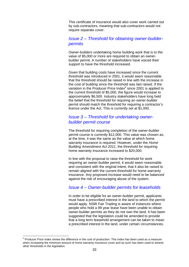This certificate of insurance would also cover work carried out by sub-contractors, meaning that sub-contractors would not require separate cover.

# Issue 2 – Threshold for obtaining owner-builderpermits

Owner-builders undertaking home building work that is to the value of \$5,000 or more are required to obtain an ownerbuilder permit. A number of stakeholders have voiced their support to have the threshold increased.

Given that building costs have increased since the current threshold was introduced in 2001, it would seem reasonable that the threshold should be raised in line with the increase in the cost of building since the threshold was last raised. If the variation in the Producer Price Index<sup>6</sup> since 2001 is applied to the current threshold of \$5,000, the figure would increase to approximately \$6,500. Industry stakeholders have long held the belief that the threshold for requiring an owner-builder permit should match the threshold for requiring a contractor's licence under the Act. This is currently set at \$1,000.

# Issue 3 – Threshold for undertaking ownerbuilder permit course

The threshold for requiring completion of the owner-builder permit course is currently \$12,000. This value was chosen as, at the time, it was the same as the value at which home warranty insurance is required. However, under the Home Building Amendment Act 2011, the threshold for requiring home warranty insurance increased to \$20,000.

In line with the proposal to raise the threshold for work requiring an owner-builder permit, it would seem reasonable and consistent with the original intent, that it also be raised to remain aligned with the current threshold for home warranty insurance. Any proposed increase would need to be balanced against the risk of encouraging abuse of the system.

# Issue 4 – Owner-builder permits for leaseholds

In order to be eligible for an owner-builder permit, applicants must have a prescribed interest in the land to which the permit would apply. NSW Fair Trading is aware of instances where people who hold a 99 year lease have been unable to obtain owner-builder permits as they do not own the land. It has been suggested that the legislation could be amended to provide that a long term leasehold arrangement can be taken to mean a prescribed interest in the land, under certain circumstances.

 $^6$  Producer Price Index shows the difference in the cost of production. This index has been used as a measure when increasing the minimum amount of home warranty insurance cover and as such has been used to amend other thresholds in the legislation.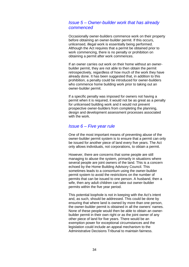# Issue 5 – Owner-builder work that has already commenced

Occasionally owner-builders commence work on their property before obtaining an owner-builder permit. If this occurs, unlicensed, illegal work is essentially being performed. Although the Act requires that a permit be obtained prior to work commencing, there is no penalty or prohibition on obtaining a permit after work commences.

If an owner carries out work on their home without an ownerbuilder permit, they are not able to then obtain the permit retrospectively, regardless of how much of the work they have already done. It has been suggested that, in addition to this prohibition, a penalty could be introduced for owner-builders who commence home building work prior to taking out an owner-builder permit.

If a specific penalty was imposed for owners not having a permit when it is required, it would not be as great as a penalty for unlicensed building work and it would not prevent prospective owner-builders from completing the planning, design and development assessment processes associated with the work.

### Issue 6 – Five year rule

One of the most important means of preventing abuse of the owner-builder permit system is to ensure that a permit can only be issued for another piece of land every five years. The Act only allows individuals, not corporations, to obtain a permit.

However, there are concerns that some people are still managing to abuse the system, primarily in situations where several people are joint owners of the land. This is a concern echoed by the Home Building Advisory Council. This sometimes leads to a consortium using the owner-builder permit system to avoid the restrictions on the number of permits that can be issued to one person. A husband, then a wife, then any adult children can take out owner-builder permits within the five year period.

This potential loophole is not in keeping with the Act's intent and, as such, should be addressed. This could be done by ensuring that where land is owned by more than one person, the owner-builder permit is obtained in all the owners' names. None of these people would then be able to obtain an ownerbuilder permit in their own right or as the joint owner of any other piece of land for five years. There would be an exemption power for exceptional circumstances and the legislation could include an appeal mechanism to the Administrative Decisions Tribunal to maintain fairness.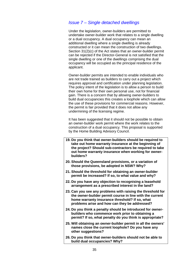# Issue 7 – Single detached dwellings

Under the legislation, owner-builders are permitted to undertake owner-builder work that relates to a single dwelling or a dual occupancy. A dual occupancy can mean an additional dwelling where a single dwelling is already constructed or it can mean the construction of two dwellings. Section 31(2)(c) of the Act states that an owner-builder permit can be rejected if the Director-General is not satisfied that the single dwelling or one of the dwellings comprising the dual occupancy will be occupied as the principal residence of the applicant.

Owner-builder permits are intended to enable individuals who are not trade trained as builders to carry out a project which requires approval and certification under planning legislation. The policy intent of the legislation is to allow a person to build their own home for their own personal use, not for financial gain. There is a concern that by allowing owner-builders to build dual occupancies this creates a loophole which can allow the use of these provisions for commercial reasons. However, the permit is fair provided that it does not allow any undermining of the licensing regime.

It has been suggested that it should not be possible to obtain an owner-builder work permit where the work relates to the construction of a dual occupancy. This proposal is supported by the Home Building Advisory Council.

- **19. Do you think that owner-builders should be required to take out home warranty insurance at the beginning of the project? Should sub-contractors be required to take out home warranty insurance when working for ownerbuilders?**
- **20. Should the Queensland provisions, or a variation of those provisions, be adopted in NSW? Why?**
- **21. Should the threshold for obtaining an owner-builder permit be increased? If so, to what value and why?**
- **22. Do you have any objection to recognising a leasehold arrangement as a prescribed interest in the land?**
- **23. Can you see any problems with raising the threshold for the owner-builder permit course in line with the current home warranty insurance threshold? If so, what problems arise and how can they be addressed?**
- **24. Do you think a penalty should be introduced for ownerbuilders who commence work prior to obtaining a permit? If so, what penalty do you think is appropriate?**
- **25. Will obtaining an owner-builder permit in all the owners' names close the current loophole? Do you have any other suggestions?**
- **26. Do you think that owner-builders should not be able to build dual occupancies? Why?**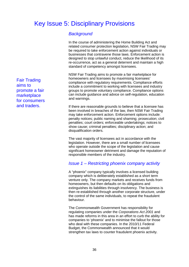# Key Issue 5: Disciplinary Provisions

# **Background**

In the course of administering the Home Building Act and related consumer protection legislation, NSW Fair Trading may be required to take enforcement action against individuals or businesses that contravene those laws. Enforcement action is designed to stop unlawful conduct, reduce the likelihood of its re-occurrence, act as a general deterrent and maintain a high standard of competency amongst licensees.

NSW Fair Trading aims to promote a fair marketplace for homeowners and licensees by maximising licensees' compliance with regulatory requirements. Compliance efforts include a commitment to working with licensees and industry groups to promote voluntary compliance. Compliance options can include guidance and advice on self-regulation, education and warnings.

If there are reasonable grounds to believe that a licensee has been involved in breaches of the law, then NSW Fair Trading may take enforcement action. Enforcement options include: penalty notices; public naming and shaming; prosecution; civil penalties; court orders; enforceable undertakings; notices to show cause; criminal penalties; disciplinary action; and disqualification orders.

The vast majority of licensees act in accordance with the legislation. However, there are a small number of licensees who operate outside the scope of the legislation and cause significant homeowner detriment and damage the reputation of responsible members of the industry.

# Issue 1 – Restricting phoenix company activity

A "phoenix" company typically involves a licensed building company which is deliberately established as a short term venture only. The company markets and receives funds from homeowners, but then defaults on its obligations and extinguishes its liabilities through insolvency. The business is then re-established through another corporate structure, under the control of the same individuals, to repeat the fraudulent behaviour.

The Commonwealth Government has responsibility for regulating companies under the Corporations Act 2001 and has made reforms in this area in an effort to curb the ability for companies to 'phoenix' and to minimise the fallout for those who deal with these companies. In the 2010/11 Federal Budget, the Commonwealth announced that it would strengthen tax laws to counter fraudulent phoenix activity.

Fair Trading aims to promote a fair marketplace for consumers and traders.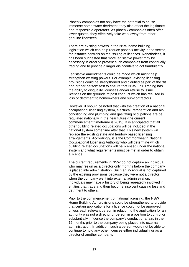Phoenix companies not only have the potential to cause immense homeowner detriment, they also affect the legitimate and responsible operators. As phoenix companies often offer lower quotes, they effectively take work away from other genuine licensees.

There are existing powers in the NSW home building legislation which can help reduce phoenix activity in the sector, for instance controls on the issuing of licences. Nonetheless, it has been suggested that more legislative power may be necessary in order to prevent such companies from continually trading and to provide a larger disincentive to act fraudulently.

Legislative amendments could be made which might help strengthen existing powers. For example, existing licensing provisions could be strengthened and clarified as part of the "fit and proper person" test to ensure that NSW Fair Trading has the ability to disqualify licensees and/or refuse to issue licences on the grounds of past conduct which has resulted in loss or detriment to homeowners and sub-contractors.

However, it should be noted that with the creation of a national occupational licensing system, electrical, refrigeration and airconditioning and plumbing and gas fitting occupations are be regulated nationally in the near future (the current commencement timeframe is 2013). It is anticipated that all other building related occupations will be included in the national system some time after that. This new system will replace the existing state and territory based licensing arrangements. Accordingly, it is the Commonwealth National Occupational Licensing Authority who will determine which building related occupations will be licensed under the national system and what requirements must be met in order to obtain a licence.

The current requirements in NSW do not capture an individual who may resign as a director only months before the company is placed into administration. Such an individual is not captured by the existing provisions because they were not a director when the company went into external administration. Individuals may have a history of being repeatedly involved in entities that trade and then become insolvent causing loss and detriment to others.

Prior to the commencement of national licensing, the NSW Home Building Act provisions could be strengthened to provide that certain applications for a licence could not be approved unless each relevant person in relation to the application for an authority was not a director or person in a position to control or substantially influence the company's conduct or affairs in the 12 months prior to the company being placed into external administration. In addition, such a person would not be able to continue to hold any other licences either individually or as a director of another company.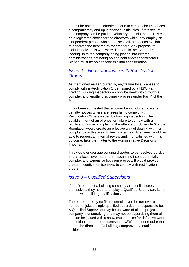It must be noted that sometimes, due to certain circumstances, a company may end up in financial difficulties. If this occurs, the company can be put into voluntary administration. This can be a legitimate choice for the director/s while they employ an independent person who can assess all the options available to generate the best return for creditors. Any proposal to include individuals who were directors in the 12 months leading up to the company being placed into external administration from being able to hold another contractors licence must be able to take this into consideration.

# Issue 2 – Non-compliance with Rectification **Orders**

As mentioned earlier, currently, any failure by a licensee to comply with a Rectification Order issued by a NSW Fair Trading Building Inspector can only be dealt with through a complex and lengthy disciplinary process under Part 4 of the Act.

It has been suggested that a power be introduced to issue penalty notices where licensees fail to comply with Rectification Orders issued by building inspectors. The establishment of an offence for failure to comply with a rectification order and placing the offence on Schedule 6 of the Regulation would create an effective way of dealing with noncompliance in this area. In terms of appeal, licensees would be able to request an internal review and, if unsatisfied with this outcome, take the matter to the Administrative Decisions Tribunal.

This would encourage building disputes to be resolved quickly and at a local level rather than escalating into a potentially complex and expensive litigation process. It would provide greater incentive for licensees to comply with rectification orders.

### Issue 3 – Qualified Supervisors

If the Directors of a building company are not licensees themselves, they need to employ a Qualified Supervisor, i.e. a person with building qualifications.

There are currently no fixed controls over the turnover or number of jobs a single qualified supervisor is responsible for. A Qualified Supervisor may be unaware of all the projects the company is undertaking and may not be supervising them all but can be issued with a show cause notice for defective work. In addition, there are concerns that NSW does not require that one of the directors of a building company be a qualified builder.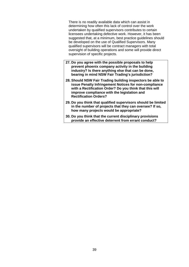There is no readily available data which can assist in determining how often this lack of control over the work undertaken by qualified supervisors contributes to certain licensees undertaking defective work. However, it has been suggested that, at a minimum, best practice guidelines should be developed on the use of Qualified Supervisors. Many qualified supervisors will be contract managers with total oversight of building operations and some will provide direct supervision of specific projects.

- **27. Do you agree with the possible proposals to help prevent phoenix company activity in the building industry? Is there anything else that can be done, bearing in mind NSW Fair Trading's jurisdiction?**
- **28. Should NSW Fair Trading building inspectors be able to issue Penalty Infringement Notices for non-compliance with a Rectification Order? Do you think that this will improve compliance with the legislation and Rectification Orders?**
- **29. Do you think that qualified supervisors should be limited in the number of projects that they can oversee? If so, how many projects would be appropriate?**
- **30. Do you think that the current disciplinary provisions provide an effective deterrent from errant conduct?**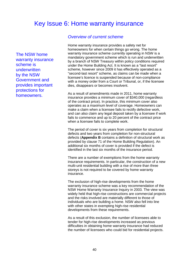# Key Issue 6: Home warranty insurance

The NSW home warranty insurance scheme is underwritten by the NSW Government and provides important protections for homeowners.

# Overview of current scheme

Home warranty insurance provides a safety net for homeowners for when certain things go wrong. The home warranty insurance scheme currently operating in NSW is a mandatory government scheme which is run and underwritten by a branch of NSW Treasury within policy conditions required under the Home Building Act. It is known as a "last resort" scheme, however since 2009 it has effectively operated as a "second-last resort" scheme, as claims can be made when a licensee's licence is suspended because of non-compliance with a money order from a Court or Tribunal, or, if the licensee dies, disappears or becomes insolvent.

As a result of amendments made in 2011, home warranty insurance provides a minimum cover of \$340,000 (regardless of the contract price). In practice, this minimum cover also operates as a maximum level of coverage. Homeowners can make a claim when a licensee fails to rectify defective work, and can also claim any legal deposit taken by a licensee if work fails to commence and up to 20 percent of the contract price when a licensee fails to complete work.

The period of cover is six years from completion for structural defects and two years from completion for non-structural defects (**Appendix B** contains a definition of structural work as provided by clause 71 of the Home Building Regulation). An additional six months of cover is provided if the defect is identified in the last six months of the insurance period.

There are a number of exemptions from the home warranty insurance requirements. In particular, the construction of a new multi-unit residential building with a rise of more than three storeys is not required to be covered by home warranty insurance.

The exclusion of high-rise developments from the home warranty insurance scheme was a key recommendation of the NSW Home Warranty Insurance Inquiry in 2003. The view was widely held that high-rise constructions are commercial projects and the risks involved are materially different to those of individuals who are building a home. NSW also fell into line with other states in exempting high-rise residential developments from these requirements.

As a result of this exclusion, the number of licensees able to tender for high-rise developments increased as previous difficulties in obtaining home warranty insurance had reduced the number of licensees who could bid for residential projects.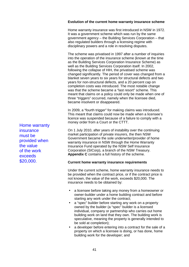### **Evolution of the current home warranty insurance scheme**

Home warranty insurance was first introduced in NSW in 1972. It was a government scheme which was run by the same government agency – the Building Services Corporation – that also regulated builders through a licensing regime with disciplinary powers and a role in resolving disputes.

The scheme was privatised in 1997 after a number of inquiries into the operation of the insurance scheme (known at the time as the Building Services Corporation Insurance Scheme) as well as the Building Services Corporation itself. In 2002, following the collapse of HIH, the privatised scheme was changed significantly. The period of cover was changed from a blanket seven years to six years for structural defects and two years for non-structural defects, and a 20 percent cap on completion costs was introduced. The most notable change was that the scheme became a "last resort" scheme. This meant that claims on a policy could only be made when one of three "triggers" occurred, namely when the licensee died, became insolvent or disappeared.

In 2009, a "fourth trigger" for making claims was introduced. This meant that claims could now be made when a licensee's licence was suspended because of a failure to comply with a money order from a Court or the CTTT.

On 1 July 2010, after years of instability over the continuing market participation of private insurers, the then NSW Government became the sole underwriter/provider of home warranty insurance in NSW through the Home Warranty Insurance Fund operated by the NSW Self Insurance Corporation (SICorp), a branch of the NSW Treasury. **Appendix C** contains a full history of the scheme.

### **Current home warranty insurance requirements**

Under the current scheme, home warranty insurance needs to be provided when the contract price, or if the contract price is not known, the value of the work, exceeds \$20,000. The insurance needs to be obtained by:

- a licensee before taking any money from a homeowner or owner-builder under a home building contract and before starting any work under the contract;
- a "spec" builder before starting any work on a property owned by the builder (a "spec" builder is a licensed individual, company or partnership who carries out home building work on land that they own. The building work is speculative, meaning the property is generally intended to be sold at completion);
- a developer before entering into a contract for the sale of a property on which a licensee is doing, or has done, home building work for the developer; and

Home warranty insurance must be provided when the value of the work exceeds \$20,000.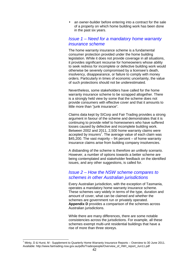• an owner-builder before entering into a contract for the sale of a property on which home building work has been done in the past six years.

### Issue 1 – Need for a mandatory home warranty insurance scheme

The home warranty insurance scheme is a fundamental consumer protection provided under the home building legislation. While it does not provide coverage in all situations, it provides significant recourse for homeowners whose ability to seek redress for incomplete or defective building work would otherwise be severely compromised by a licensee's death, insolvency, disappearance, or failure to comply with money orders. Particularly in times of economic uncertainty, the value of such protections should not be underestimated.

Nevertheless, some stakeholders have called for the home warranty insurance scheme to be scrapped altogether. There is a strongly held view by some that the scheme does not provide consumers with effective cover and that it amounts to little more than "junk insurance".

Claims data kept by SICorp and Fair Trading provides a strong argument in favour of the scheme and demonstrates that it is continuing to provide relief to homeowners who have suffered losses caused by defective and incomplete building work. Between 2002 and 2011, 2,500 home warranty claims were accepted by insurers<sup>7</sup>. The average value of each claim was \$45,200. The vast majority  $-$  94 percent  $-$  of home warranty insurance claims arise from building company insolvencies.

A disbanding of the scheme is therefore an unlikely scenario. However, a number of options towards a better scheme are being contemplated and stakeholder feedback on the identified issues, and any other suggestions, is called for.

# Issue 2 – How the NSW scheme compares to schemes in other Australian jurisdictions

Every Australian jurisdiction, with the exception of Tasmania, operates a mandatory home warranty insurance scheme. These schemes vary widely in terms of the type, duration and amount of cover, what can be claimed and whether the schemes are government run or privately operated. **Appendix D** provides a comparison of the schemes across Australian jurisdictions.

While there are many differences, there are some notable consistencies across the jurisdictions. For example, all these schemes exempt multi-unit residential buildings that have a rise of more than three storeys.

 $^7$  Minty, D & Hurst, M - Supplement to Quarterly Home Warranty Insurance Reports – Overview to 30 June 2011. Available: http://www.fairtrading.nsw.gov.au/pdfs/Tradespeople/Overview\_of\_HWI\_report\_Jun11.pdf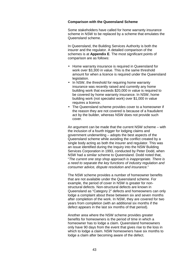### **Comparison with the Queensland Scheme**

Some stakeholders have called for home warranty insurance scheme in NSW to be replaced by a scheme that emulates the Queensland scheme.

In Queensland, the Building Services Authority is both the insurer and the regulator. A detailed comparison of the schemes is at **Appendix E**. The most significant points of comparison are as follows:

- Home warranty insurance is required in Queensland for work over \$3,300 in value. This is the same threshold amount for when a licence is required under the Queensland legislation.
- In NSW, the threshold for requiring home warranty insurance was recently raised and currently any home building work that exceeds \$20,000 in value is required to be covered by home warranty insurance. In NSW, home building work (not specialist work) over \$1,000 in value requires a licence.
- The Queensland scheme provides cover to a homeowner if the reason they are not covered is because of a fraudulent act by the builder, whereas NSW does not provide such cover.

An argument can be made that the current NSW scheme – with the inclusion of a fourth trigger for lodging claims and government underwriting – adopts the best aspects of the Queensland scheme while avoiding the conflict created by a single body acting as both the insurer and regulator. This was an issue identified during the Inquiry into the NSW Building Services Corporation in 1993, conducted by Peter Dodd, when NSW had a similar scheme to Queensland. Dodd noted that, "The current one stop shop approach is inappropriate. There is a need to separate the key functions of industry regulation and consumer advice, dispute resolution and insurance."

The NSW scheme provides a number of homeowner benefits that are not available under the Queensland scheme. For example, the period of cover in NSW is greater for nonstructural defects. Non-structural defects are known in Queensland as "Category 2" defects and homeowners can only lodge a complaint about these between six and seven months after completion of the work. In NSW, they are covered for two years from completion (with an additional six months if the defect appears in the last six months of that period).

Another area where the NSW scheme provides greater benefits for homeowners is the period of time in which a homeowner has to lodge a claim. Queensland homeowners only have 90 days from the event that gives rise to the loss in which to lodge a claim. NSW homeowners have six months to lodge a claim after becoming aware of the defect.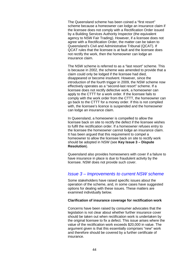The Queensland scheme has been coined a "first resort" scheme because a homeowner can lodge an insurance claim if the licensee does not comply with a Rectification Order issued by a Building Services Authority Inspector (the equivalent agency to NSW Fair Trading). However, if a licensee does not agree with a Rectification Order, the matter can be taken to Queensland's Civil and Administrative Tribunal (QCAT). If QCAT rules that the licensee is at fault and the licensee does not rectify the work, then the homeowner can lodge an insurance claim.

The NSW scheme is referred to as a "last resort" scheme. This is because in 2002, the scheme was amended to provide that a claim could only be lodged if the licensee had died, disappeared or become insolvent. However, since the introduction of the fourth trigger in 2009, the NSW scheme now effectively operates as a "second-last resort" scheme. If a licensee does not rectify defective work, a homeowner can apply to the CTTT for a work order. If the licensee fails to comply with the work order from the CTTT, the homeowner can go back to the CTTT for a money order. If this is not complied with, the licensee's licence is suspended and the homeowner can lodge an insurance claim.

In Queensland, a homeowner is compelled to allow the licensee back on site to rectify the defect if the licensee wishes to fulfil the rectification order. If a homeowner refuses entry to the licensee the homeowner cannot lodge an insurance claim. It has been argued that this requirement to compel a homeowner to allow the licensee back on site to rectify work should be adopted in NSW (see **Key Issue 3 – Dispute Resolution**).

Queensland also provides homeowners with cover if a failure to have insurance in place is due to fraudulent activity by the licensee. NSW does not provide such cover.

### Issue 3 – Improvements to current NSW scheme

Some stakeholders have raised specific issues about the operation of the scheme, and, in some cases have suggested options for dealing with these issues. These matters are examined individually below.

### **Clarification of insurance coverage for rectification work**

Concerns have been raised by consumer advocates that the legislation is not clear about whether further insurance cover should be taken out when rectification work is undertaken by the original licensee to fix a defect. This issue arises where the value of the rectification work exceeds \$20,000 in value. The argument given is that this essentially comprises "new" work and therefore should be covered by a further certificate of insurance.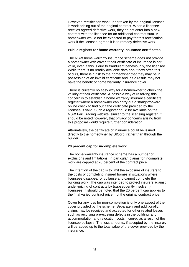However, rectification work undertaken by the original licensee is work arising out of the original contract. When a licensee rectifies agreed defective work, they do not enter into a new contract with the licensee for an additional contract sum. A homeowner would not be expected to pay for this rectification work if the licensee agrees it is to remedy defective work.

### **Public register for home warranty insurance certificates**

The NSW home warranty insurance scheme does not provide a homeowner with cover if their certificate of insurance is not valid, even if this is due to fraudulent behaviour by the licensee. While there is no readily available data about how often this occurs, there is a risk to the homeowner that they may be in possession of an invalid certificate and, as a result, may not have the benefit of home warranty insurance cover.

There is currently no easy way for a homeowner to check the validity of their certificate. A possible way of resolving this concern is to establish a home warranty insurance certificate register where a homeowner can carry out a straightforward online check to find out if the certificate provided by the licensee is valid. Such a register could be available on the NSW Fair Trading website, similar to the licensing register. It should be noted however, that privacy concerns arising from this proposal would require further consideration.

Alternatively, the certificate of insurance could be issued directly to the homeowner by SICorp, rather than through the builder.

### **20 percent cap for incomplete work**

The home warranty insurance scheme has a number of exclusions and limitations. In particular, claims for incomplete work are capped at 20 percent of the contract price.

The intention of the cap is to limit the exposure of insurers to the costs of completing insured homes in situations where licensees disappear or collapse and cannot complete the building work. The cap was intended to protect insurers against under-pricing of contracts by (subsequently insolvent) licensees. It should be noted that the 20 percent cap applies to the final varied contract price, not the original contract price.

Cover for any loss for non-completion is only one aspect of the cover provided by the scheme. Separately and additionally, claims may be received and accepted for other related losses such as rectifying pre-existing defects in the building, and accommodation and relocation costs incurred as a result of the licensee collapse. The loss amounts, if accepted by the insurer, will be added up to the total value of the cover provided by the insurance.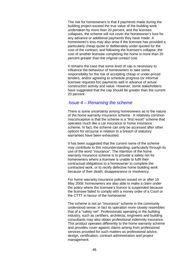The risk for homeowners is that if payments made during the building project exceed the true value of the building work undertaken by more than 20 percent, and the licensee collapses, the scheme will not cover the homeowner's loss for any advance or additional payments they have made. A homeowner's loss may also arise if the licensee has provided a particularly cheap quote or deliberately under-quoted for the cost of the contract, and following the licensee's collapse, the cost of another licensee completing the home is more than 20 percent greater than the original contact cost.

It remains the case that some level of cap is necessary to influence the behaviour of homeowners to take some responsibility for the risk of accepting cheap or under-priced tenders, and/or agreeing to schedule progress (or informal licensee requests for) payments well in advance of actual construction activity and value. However, some stakeholders have suggested that the cap should be greater than the current 20 percent.

### Issue 4 – Renaming the scheme

There is some uncertainty among homeowners as to the nature of the home warranty insurance scheme. A relatively common misconception is that the scheme is a "first resort" scheme that operates much like a car insurance or home insurance scheme. In fact, the scheme can only be accessed after other options for recourse in relation to a breach of statutory warranties have been exhausted.

It has been suggested that the current name of the scheme may contribute to this misunderstanding, particularly through its use of the word "insurance". The intention of the home warranty insurance scheme is to provide a safety net for homeowners where a licensee is unable to fulfil their contractual obligations to a homeowner to complete the contracted work, or to rectify defective home building work because of their death, disappearance or insolvency.

For home warranty insurance policies issued on or after 19 May 2009, homeowners are also able to make a claim under the policy where the licensee's licence is suspended because the licensee failed to comply with a money order of a Court or the CTTT in favour of the homeowner.

The scheme is not an "insurance" scheme in the commonly understood sense; in fact its operation more closely resembles that of a "safety net". Professionals operating in the building industry, such as certifiers, architects, engineers and building consultants may also obtain professional indemnity insurance. This product operates differently to the home warranty scheme and provides cover against claims arising from professional services provided for such matters as professional advice, design, certification, contract administration and project management.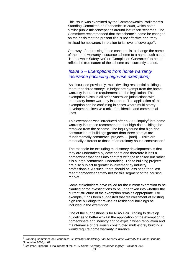This issue was examined by the Commonwealth Parliament's Standing Committee on Economics in 2008, which noted similar public misconceptions around last resort schemes. The Committee recommended that the scheme's name be changed on the basis that the present title is not effective and "may mislead homeowners in relation to its level of coverage"<sup>8</sup>.

One way of addressing these concerns is to change the name of the home warranty insurance scheme to a name such as the "Homeowner Safety Net" or "Completion Guarantee" to better reflect the true nature of the scheme as it currently stands.

# Issue 5 – Exemptions from home warranty insurance (including high-rise exemption)

As discussed previously, multi dwelling residential buildings more than three storeys in height are exempt from the home warranty insurance requirements of the legislation. This exemption exists in all other Australian jurisdictions with mandatory home warranty insurance. The application of this exemption can be confusing in cases where multi-storey developments involve a mix of residential and commercial uses.

This exemption was introduced after a 2003 inquiry $9$  into home warranty insurance recommended that high-rise buildings be removed from the scheme. The inquiry found that high-rise construction of buildings greater than three storeys are "fundamentally commercial projects … [and] … risks are materially different to those of an ordinary house construction."

The rationale for excluding multi-storey developments is that they are undertaken by developers and therefore it isn't a homeowner that goes into contract with the licensee but rather it is a large commercial undertaking. These building projects are also subject to greater involvement by industry professionals. As such, there should be less need for a last resort homeowner safety net for this segment of the housing market.

Some stakeholders have called for the current exemption to be clarified or for investigations to be undertaken into whether the current structure of the exemption remains appropriate. For example, it has been suggested that refurbishment of existing high rise buildings for re-use as residential buildings be included in the exemption.

One of the suggestions is for NSW Fair Trading to develop guidelines to better explain the application of the exemption to homeowners and industry and to explain when renovation and maintenance of previously constructed multi-storey buildings would require home warranty insurance.

 $\overline{a}$ 

 $^8$  Standing Committee on Economics, Australian's mandatory Last Resort Home Warranty Insurance scheme, November 2008, p 62

Grellman, Richard - Final report of the NSW Home Warranty Insurance Inquiry - October 2003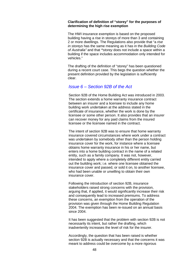#### **Clarification of definition of "storey" for the purposes of determining the high rise exemption**

The HWI insurance exemption is based on the proposed building having a rise in storeys of more than 3 and containing 2 or more dwellings. The Regulations also provide that "a rise" in storeys has the same meaning as it has in the Building Code of Australia" and that **"**storey does not include a space within a building if the space includes accommodation only intended for vehicles."

The drafting of the definition of "storey" has been questioned during a recent court case. This begs the question whether the present definition provided by the legislation is sufficiently clear.

# Issue 6 – Section 92B of the Act

Section 92B of the Home Building Act was introduced in 2003. The section extends a home warranty insurance contract between an insurer and a licensee to include any home building work undertaken at the address stated in the certificate of insurance, whether the work is done by the licensee or some other person. It also provides that an insurer can recover money for any paid claims from the insured licensee or the licensee named in the contract.

The intent of section 92B was to ensure that home warranty insurance covered circumstances where work under a contract was undertaken by somebody other than the person holding insurance cover for the work, for instance where a licensee obtains home warranty insurance in his or her name, but enters into a home building contract in the name of a related entity, such as a family company. It was not, however, intended to apply where a completely different entity carried out the building work; i.e. where one licensee obtained the insurance cover and passed, or sold it on, to another licensee, who had been unable or unwilling to obtain their own insurance cover.

Following the introduction of section 92B, insurance stakeholders raised strong concerns with the provision, arguing that, if applied, it would significantly increase their risk and consequently lead to increased premiums. To address these concerns, an exemption from the operation of the provision was given through the Home Building Regulation 2004. The exemption has been re-issued on an annual basis since 2004.

It has been suggested that the problem with section 92B is not necessarily its intent, but rather the drafting, which inadvertently increases the level of risk for the insurer.

Accordingly, the question that has been raised is whether section 92B is actually necessary and that the concerns it was meant to address could be overcome by a more rigorous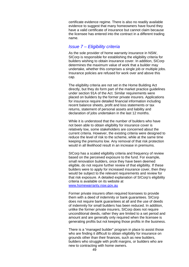certificate evidence regime. There is also no readily available evidence to suggest that many homeowners have found they have a valid certificate of insurance but cannot claim because the licensee has entered into the contract in a different trading name.

# Issue 7 – Eligibility criteria

As the sole provider of home warranty insurance in NSW, SICorp is responsible for establishing the eligibility criteria for builders wishing to obtain insurance cover. In addition, SICorp determines the maximum value of work that a builder may undertake, whether this comprises a single job or multiple jobs. Insurance policies are refused for work over and above this cap.

The eligibility criteria are not set in the Home Building Act directly, but they do form part of the market practice guidelines under section 91A of the Act. Similar requirements were placed on builders by the former private insurers. Applications for insurance require detailed financial information including recent balance sheets, profit and loss statements or tax returns, statement of personal assets and liability and declaration of jobs undertaken in the last 12 months.

While it is understood that the number of builders who have not been able to obtain eligibility for insurance cover is relatively low, some stakeholders are concerned about the current criteria. However, the existing criteria were designed to reduce the level of risk to the scheme, while at the same time keeping the premiums low. Any removal of that risk protection would in all likelihood result in an increase in premiums.

SICorp has a scaled eligibility criteria and frequency of review based on the perceived exposure to the fund. For example, small renovation builders, once they have been deemed eligible, do not require further review of that eligibility. If these builders were to apply for increased insurance cover, then they would be subject to the relevant requirements and review for that risk exposure. A detailed explanation of SICorp's eligibility criteria is available on its website at www.homewarranty.nsw.gov.au

Former private insurers often required licensees to provide them with a deed of indemnity or bank guarantees. SICorp does not require bank guarantees at all and the use of deeds of indemnity for small builders has been reduced. In addition, unlike the former private insurers, SICorp does not require unconditional deeds, rather they are limited to a set period and amount and are generally only required when the licensee is generating profits but not keeping those profits in the business.

There is a "managed builder" program in place to assist those who are finding it difficult to obtain eligibility for insurance on grounds other than their finances, such as new builders, builders who struggle with profit margins, or builders who are new to contracting with home owners.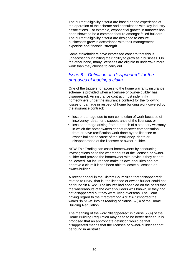The current eligibility criteria are based on the experience of the operation of the scheme and consultation with key industry associations. For example, exponential growth in turnover has been shown to be a common feature amongst failed builders. The current eligibility criteria are designed to ensure businesses grow in accordance with their management expertise and financial strength.

Some stakeholders have expressed concern that this is unnecessarily inhibiting their ability to grow as a business. On the other hand, many licensees are eligible to undertake more work than they choose to carry out.

# Issue 8 – Definition of "disappeared" for the purposes of lodging a claim

One of the triggers for access to the home warranty insurance scheme is provided when a licensee or owner-builder has disappeared. An insurance contract must indemnify homeowners under the insurance contract for the following losses or damage in respect of home building work covered by the insurance contract:

- loss or damage due to non-completion of work because of insolvency, death or disappearance of the licensee; or
- loss or damage arising from a breach of a statutory warranty in which the homeowners cannot recover compensation from or have rectification work done by the licensee or owner-builder because of the insolvency, death or disappearance of the licensee or owner-builder.

NSW Fair Trading can assist homeowners by conducting investigations as to the whereabouts of the licensee or ownerbuilder and provide the homeowner with advice if they cannot be located. An insurer can make its own enquiries and not approve a claim if it has been able to locate a licensee or owner-builder.

A recent appeal in the District Court ruled that "disappeared" related to NSW, that is, the licensee or owner-builder could not be found "in NSW". The insurer had appealed on the basis that the whereabouts of the owner-builders was known, ie they had not disappeared but they were living overseas. The Court having regard to the *Interpretation Act 1987* imported the words "in NSW" into its reading of clause 52(3) of the Home Building Regulation.

The meaning of the word 'disappeared' in clause 56(4) of the Home Building Regulation may need to be better defined. It is proposed that an appropriate definition would be that disappeared means that the licensee or owner-builder cannot be found in Australia.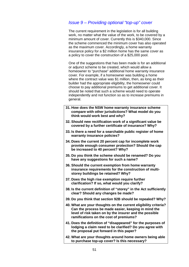# Issue 9 – Providing optional "top-up" cover

The current requirement in the legislation is for all building work, no matter what the value of the work, to be covered by a minimum amount of cover. Currently this is \$340,000. Since the scheme commenced the minimum cover has also operated as the maximum cover. Accordingly, a home warranty insurance policy for a \$2 million home has the same cover as a policy to cover the construction of a \$25,000 pool.

One of the suggestions that has been made is for an additional or adjunct scheme to be created, which would allow a homeowner to "purchase" additional home warranty insurance cover. For example, if a homeowner was building a home where the contract value was \$1 million, then, as long as their builder had the appropriate eligibility, the homeowner could choose to pay additional premiums to get additional cover. It should be noted that such a scheme would need to operate independently and not function so as to increase premiums in general.

- **31. How does the NSW home warranty insurance scheme compare with other jurisdictions? What model do you think would work best and why?**
- **32. Should new rectification work of a significant value be covered by a further certificate of insurance? Why?**
- **33. Is there a need for a searchable public register of home warranty insurance policies?**
- **34. Does the current 20 percent cap for incomplete work provide enough consumer protection? Should the cap be increased to 40 percent? Why?**
- **35. Do you think the scheme should be renamed? Do you have any suggestions for such a name?**
- **36. Should the current exemption from home warranty insurance requirements for the construction of multistorey buildings be retained? Why?**
- **37. Does the high rise exemption require further clarification? If so, what would you clarify?**
- **38. Is the current definition of "storey" in the Act sufficiently clear? Should any changes be made?**
- **39. Do you think that section 92B should be repealed? Why?**
- **40. What are your thoughts on the current eligibility criteria? Can the process be made easier, keeping in mind the level of risk taken on by the insurer and the possible ramifications on the cost of premiums?**
- **41. Does the definition of "disappeared" for the purposes of lodging a claim need to be clarified? Do you agree with the proposal put forward in this paper?**
- **42. What are your thoughts around home owners being able to purchase top-up cover? Is this necessary?**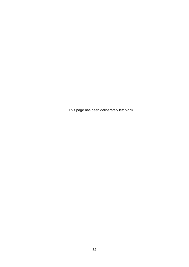This page has been deliberately left blank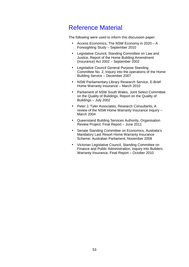# Reference Material

The following were used to inform this discussion paper:

- Access Economics, The NSW Economy in 2020 A Foresighting Study – September 2010
- Legislative Council, Standing Committee on Law and Justice, Report of the Home Building Amendment (Insurance) Act 2002 – September 2002
- Legislative Council General Purpose Standing Committee No. 2, Inquiry into the operations of the Home Building Service – December 2007
- NSW Parliamentary Library Research Service, E-Brief: Home Warranty Insurance – March 2010
- Parliament of NSW South Wales, Joint Select Committee on the Quality of Buildings, Report on the Quality of Buildings – July 2002
- Peter J. Tyler Associates, Research Consultants, A review of the NSW Home Warranty Insurance Inquiry – March 2004
- Queensland Building Services Authority, Organisation Review Project; Final Report – June 2011
- Senate Standing Committee on Economics, Australia's Mandatory Last Resort Home Warranty Insurance Scheme; Australian Parliament, November 2008
- Victorian Legislative Council, Standing Committee on Finance and Public Administration; Inquiry into Builders Warranty Insurance, Final Report – October 2010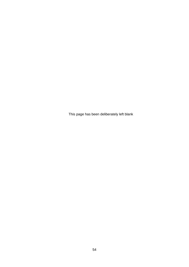This page has been deliberately left blank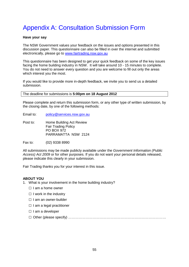# Appendix A: Consultation Submission Form

### **Have your say**

The NSW Government values your feedback on the issues and options presented in this discussion paper. This questionnaire can also be filled in over the internet and submitted electronically, please go to www.fairtrading.nsw.gov.au

This questionnaire has been designed to get your quick feedback on some of the key issues facing the home building industry in NSW. It will take around 10 - 15 minutes to complete. You do not need to answer every question and you are welcome to fill out only the areas which interest you the most.

If you would like to provide more in-depth feedback, we invite you to send us a detailed submission.

### The deadline for submissions is **5:00pm on 18 August 2012**

Please complete and return this submission form, or any other type of written submission, by the closing date, by one of the following methods:

- Email to: policy@services.nsw.gov.au
- Post to: Home Building Act Review Fair Trading Policy PO BOX 972 PARRAMATTA NSW 2124

Fax to: (02) 9338 8990

All submissions may be made publicly available under the Government Information (Public Access) Act 2009 or for other purposes. If you do not want your personal details released, please indicate this clearly in your submission.

Fair Trading thanks you for your interest in this issue.

### **ABOUT YOU**

- 1. What is your involvement in the home building industry?
	- □ I am a home owner
	- $\Box$  I work in the industry
	- □ I am an owner-builder
	- □ I am a legal practitioner
	- □ I am a developer
	- □ Other (please specify) …………………………………………………………………………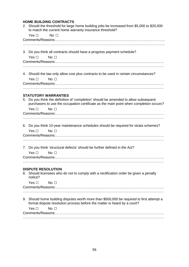### **HOME BUILDING CONTRACTS**

|    | 2. Should the threshold for large home building jobs be increased from \$5,000 to \$20,000<br>to match the current home warranty insurance threshold?                       |
|----|-----------------------------------------------------------------------------------------------------------------------------------------------------------------------------|
|    | No $\square$<br>Yes $\Box$                                                                                                                                                  |
|    |                                                                                                                                                                             |
|    |                                                                                                                                                                             |
|    | 3. Do you think all contracts should have a progress payment schedule?                                                                                                      |
|    | No <sub>1</sub><br>Yes $\Box$                                                                                                                                               |
|    |                                                                                                                                                                             |
|    |                                                                                                                                                                             |
|    | 4. Should the law only allow cost plus contracts to be used in certain circumstances?                                                                                       |
|    | No <sub>1</sub><br>Yes $\Box$                                                                                                                                               |
|    |                                                                                                                                                                             |
|    |                                                                                                                                                                             |
|    | <b>STATUTORY WARRANTIES</b>                                                                                                                                                 |
| 5. | Do you think the definition of 'completion' should be amended to allow subsequent<br>purchasers to use the occupation certificate as the main point when completion occurs? |
|    | No $\Box$<br>Yes $\Box$                                                                                                                                                     |
|    |                                                                                                                                                                             |
|    |                                                                                                                                                                             |
|    | 6. Do you think 10-year maintenance schedules should be required for strata schemes?                                                                                        |
|    | $No$ $\square$<br>Yes $\square$                                                                                                                                             |
|    |                                                                                                                                                                             |
|    |                                                                                                                                                                             |
|    | 7. Do you think 'structural defects' should be further defined in the Act?                                                                                                  |
|    | No $\square$<br>Yes $\Box$                                                                                                                                                  |
|    |                                                                                                                                                                             |
|    |                                                                                                                                                                             |
|    | <b>DISPUTE RESOLUTION</b>                                                                                                                                                   |
| 8. | Should licensees who do not to comply with a rectification order be given a penalty                                                                                         |
|    | notice?                                                                                                                                                                     |
|    | No <sub>1</sub><br>Yes $\Box$                                                                                                                                               |
|    |                                                                                                                                                                             |
|    |                                                                                                                                                                             |
|    | 9. Should home building disputes worth more than \$500,000 be required to first attempt a                                                                                   |
|    | formal dispute resolution process before the matter is heard by a court?                                                                                                    |
|    | $No$ $\square$<br>Yes $\square$                                                                                                                                             |
|    |                                                                                                                                                                             |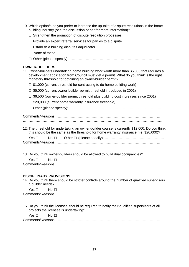| 10. Which option/s do you prefer to increase the up-take of dispute resolutions in the home<br>building industry (see the discussion paper for more information)?                                                                                                                                                                                        |
|----------------------------------------------------------------------------------------------------------------------------------------------------------------------------------------------------------------------------------------------------------------------------------------------------------------------------------------------------------|
| Strengthen the promotion of dispute resolution processes                                                                                                                                                                                                                                                                                                 |
| $\Box$ Provide an expert referral services for parties to a dispute                                                                                                                                                                                                                                                                                      |
| Establish a building disputes adjudicator<br>⊔                                                                                                                                                                                                                                                                                                           |
| None of these<br>$\perp$                                                                                                                                                                                                                                                                                                                                 |
|                                                                                                                                                                                                                                                                                                                                                          |
| <b>OWNER-BUILDERS</b><br>11. Owner-builders undertaking home building work worth more than \$5,000 that requires a<br>development application from Council must get a permit. What do you think is the right<br>monetary threshold for obtaining an owner-builder permit?<br>$\Box$ \$1,000 (current threshold for contracting to do home building work) |
| \$5,000 (current owner-builder permit threshold introduced in 2001)<br>П                                                                                                                                                                                                                                                                                 |
|                                                                                                                                                                                                                                                                                                                                                          |
| \$6,500 (owner-builder permit threshold plus building cost increases since 2001)<br>⊔                                                                                                                                                                                                                                                                    |
| \$20,000 (current home warranty insurance threshold)<br>$\Box$                                                                                                                                                                                                                                                                                           |
| □                                                                                                                                                                                                                                                                                                                                                        |
|                                                                                                                                                                                                                                                                                                                                                          |
|                                                                                                                                                                                                                                                                                                                                                          |
| 12. The threshold for undertaking an owner-builder course is currently \$12,000. Do you think<br>this should be the same as the threshold for home warranty insurance (i.e. \$20,000)?                                                                                                                                                                   |
|                                                                                                                                                                                                                                                                                                                                                          |
| Yes $\Box$<br>No $\square$                                                                                                                                                                                                                                                                                                                               |
|                                                                                                                                                                                                                                                                                                                                                          |
|                                                                                                                                                                                                                                                                                                                                                          |
| 13. Do you think owner-builders should be allowed to build dual occupancies?                                                                                                                                                                                                                                                                             |
| Yes $\Box$<br>No <sub>1</sub>                                                                                                                                                                                                                                                                                                                            |
|                                                                                                                                                                                                                                                                                                                                                          |
|                                                                                                                                                                                                                                                                                                                                                          |
| <b>DISCIPLINARY PROVISIONS</b><br>14. Do you think there should be stricter controls around the number of qualified supervisors<br>a builder needs?                                                                                                                                                                                                      |
| No <sub>1</sub><br>Yes $\square$                                                                                                                                                                                                                                                                                                                         |
|                                                                                                                                                                                                                                                                                                                                                          |
| 15. Do you think the licensee should be required to notify their qualified supervisors of all<br>projects the licensee is undertaking?                                                                                                                                                                                                                   |
| No <sub>1</sub><br>Yes $\Box$                                                                                                                                                                                                                                                                                                                            |
|                                                                                                                                                                                                                                                                                                                                                          |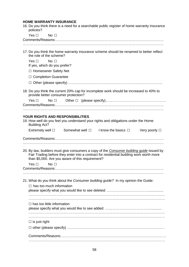### **HOME WARRANTY INSURANCE**

| 16. Do you think there is a need for a searchable public register of home warranty insurance<br>policies?                                                                                                                                                   |
|-------------------------------------------------------------------------------------------------------------------------------------------------------------------------------------------------------------------------------------------------------------|
| Yes $\square$<br>No <sub>1</sub>                                                                                                                                                                                                                            |
|                                                                                                                                                                                                                                                             |
|                                                                                                                                                                                                                                                             |
| 17. Do you think the home warranty insurance scheme should be renamed to better reflect<br>the role of the scheme?                                                                                                                                          |
| $Yes \Box$ No $\Box$<br>If yes, which do you prefer?                                                                                                                                                                                                        |
| □ Homeowner Safety Net                                                                                                                                                                                                                                      |
| $\Box$ Completion Guarantee                                                                                                                                                                                                                                 |
| □ Other (please specify) ……………………………………………………………………                                                                                                                                                                                                         |
| 18. Do you think the current 20% cap for incomplete work should be increased to 40% to<br>provide better consumer protection?                                                                                                                               |
| Yes $\Box$                                                                                                                                                                                                                                                  |
|                                                                                                                                                                                                                                                             |
| <b>YOUR RIGHTS AND RESPONSIBILITIES</b><br>19. How well do you feel you understand your rights and obligations under the Home<br><b>Building Act?</b><br>Extremely well $\square$ Somewhat well $\square$ I know the basics $\square$<br>Very poorly $\Box$ |
|                                                                                                                                                                                                                                                             |
|                                                                                                                                                                                                                                                             |
| 20. By law, builders must give consumers a copy of the <i>Consumer building guide</i> issued by<br>Fair Trading before they enter into a contract for residential building work worth more<br>than \$5,000. Are you aware of this requirement?              |
| No $\square$<br>Yes $\Box$                                                                                                                                                                                                                                  |
|                                                                                                                                                                                                                                                             |
|                                                                                                                                                                                                                                                             |
| 21. What do you think about the Consumer building guide? In my opinion the Guide:                                                                                                                                                                           |
| $\Box$ has too much information                                                                                                                                                                                                                             |
|                                                                                                                                                                                                                                                             |
|                                                                                                                                                                                                                                                             |
| $\Box$ has too little information                                                                                                                                                                                                                           |
|                                                                                                                                                                                                                                                             |
|                                                                                                                                                                                                                                                             |
| $\Box$ is just right                                                                                                                                                                                                                                        |
|                                                                                                                                                                                                                                                             |
|                                                                                                                                                                                                                                                             |
|                                                                                                                                                                                                                                                             |
|                                                                                                                                                                                                                                                             |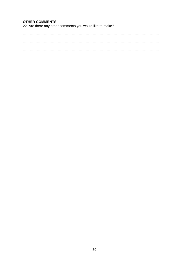# **OTHER COMMENTS**

22. Are there any other comments you would like to make?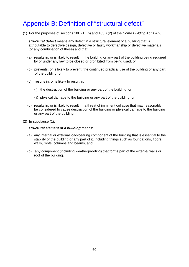# Appendix B: Definition of "structural defect"

(1) For the purposes of sections 18E (1) (b) and 103B (2) of the Home Building Act 1989,

**structural defect** means any defect in a structural element of a building that is attributable to defective design, defective or faulty workmanship or defective materials (or any combination of these) and that:

- (a) results in, or is likely to result in, the building or any part of the building being required by or under any law to be closed or prohibited from being used, or
- (b) prevents, or is likely to prevent, the continued practical use of the building or any part of the building, or
- (c) results in, or is likely to result in:
	- (i) the destruction of the building or any part of the building, or
	- (ii) physical damage to the building or any part of the building, or
- (d) results in, or is likely to result in, a threat of imminent collapse that may reasonably be considered to cause destruction of the building or physical damage to the building or any part of the building.
- (2) In subclause (1):

### **structural element of a building** means:

- (a) any internal or external load-bearing component of the building that is essential to the stability of the building or any part of it, including things such as foundations, floors, walls, roofs, columns and beams, and
- (b) any component (including weatherproofing) that forms part of the external walls or roof of the building.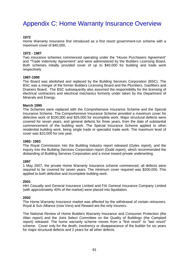# Appendix C: Home Warranty Insurance Overview

### **1972**

Home Warranty Insurance first introduced as a first resort government-run scheme with a maximum cover of \$40,000.

### **1972 - 1987**

Two insurance schemes commenced operating under the "House Purchasers Agreement" and "Trade Indemnity Agreement" and were administered by the Builders Licensing Board. Both schemes initially provided cover of up to \$40,000 for building and trade work respectively

### **1987-1990**

The Board was abolished and replaced by the Building Services Corporation (BSC). The BSC was a merger of the former Builders Licensing Board and the Plumbers, Gasfitters and Drainers Board. The BSC subsequently also assumed the responsibility for the licensing of electrical contractors and electrical mechanics formerly under taken by the Department of Minerals and Energy.

### **March 1990**

The Schemes were replaced with the Comprehensive Insurance Scheme and the Special Insurance Scheme. The Comprehensive Insurance Scheme provided a maximum cover for defective work of \$100,000 and \$25,000 for incomplete work. Major structural defects were covered for seven years, and general defects for three years, from the date of substantial commencement of the building work. The Special Insurance Scheme applied to other residential building work, being single trade or specialist trade work. The maximum level of cover was \$10,000 for one year.

### **1992- 1993**

The Royal Commission into the Building Industry report released (Gyles report), and the Inquiry into the Building Services Corporation report (Dodd report), which recommended the disbanding of Building Services Corporation and a move toward private underwriting.

### **1997**

1 May 2007, the private Home Warranty Insurance scheme commenced, all defects were required to be covered for seven years. The minimum cover required was \$200,000. This applied to both defective and incomplete building work.

### **2001**

HIH Casualty and General Insurance Limited and FAI General Insurance Company Limited (with approximately 40% of the market) were placed into liquidation.

### **2002**

The Home Warranty Insurance market was affected by the withdrawal of certain reinsurers. Royal & Sun Alliance (now Vero) and Reward are the only insurers.

The National Review of Home Builders Warranty Insurance and Consumer Protection (the Allan report) and the Joint Select Committee on the Quality of Buildings (the Campbell report) released. The home warranty scheme moves from a "first resort" to "last resort" scheme. Cover only for the death, insolvency or disappearance of the builder for six years for major structural defects and 2 years for all other defects.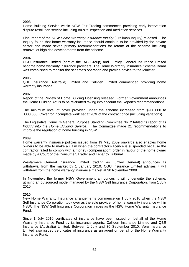### **2003**

Home Building Service within NSW Fair Trading commences providing early intervention dispute resolution service including on-site inspection and mediation services.

Final report of the NSW Home Warranty Insurance Inquiry (Grellman Inquiry) released. The Inquiry found that home warranty insurance should continue to be provided by the private sector and made seven primary recommendations for reform of the scheme including removal of high rise developments from the scheme.

### **2004**

CGU Insurance Limited (part of the IAG Group) and Lumley General Insurance Limited become home warranty insurance providers. The Home Warranty Insurance Scheme Board was established to monitor the scheme's operation and provide advice to the Minister.

### **2005**

QBE Insurance (Australia) Limited and Calliden Limited commenced providing home warranty insurance.

### **2007**

Report of the Review of Home Building Licensing released. Former Government announces the Home Building Act is to be re-drafted taking into account the Report's recommendations.

The minimum level of cover provided under the scheme increased from \$200,000 to \$300,000. Cover for incomplete work set at 20% of the contract price (including variations).

The Legislative Council's General Purpose Standing Committee No. 2 tabled its report of its Inquiry into the Home Building Service. The Committee made 21 recommendations to improve the regulation of home building in NSW.

### **2009**

Home warranty insurance policies issued from 19 May 2009 onwards also enables home owners to be able to make a claim when the contractor's licence is suspended because the contractor failed to comply with a money (compensation) order in favour of the home owner made by a Court or the Consumer, Trader and Tenancy Tribunal.

Wesfarmers General Insurance Limited (trading as Lumley General) announces its withdrawal from the market by 1 January 2010. CGU Insurance Limited advises it will withdraw from the home warranty insurance market at 30 November 2009.

In November, the former NSW Government announces it will underwrite the scheme, utilising an outsourced model managed by the NSW Self Insurance Corporation, from 1 July 2010.

### **2010**

New Home Warranty Insurance arrangements commence on 1 July 2010 when the NSW Self Insurance Corporation took over as the sole provider of home warranty insurance within NSW. The NSW Self Insurance Corporation trades as the NSW Home Warranty Insurance Fund.

Since 1 July 2010 certificates of insurance have been issued on behalf of the Home Warranty Insurance Fund by its insurance agents, Calliden Insurance Limited and QBE Insurance (Australia) Limited. Between 1 July and 30 September 2010, Vero Insurance Limited also issued certificates of insurance as an agent on behalf of the Home Warranty Insurance Fund.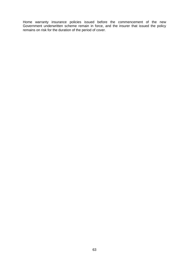Home warranty insurance policies issued before the commencement of the new Government underwritten scheme remain in force, and the insurer that issued the policy remains on risk for the duration of the period of cover.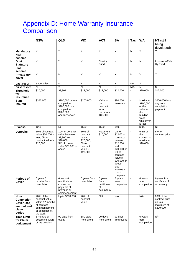# Appendix D: Home Warranty Insurance **Comparison**

|                                                                           | <b>NSW</b>                                                                                                        | QLD                                                                                                          | <b>VIC</b>                                                                             | <b>ACT</b>                                                    | <b>SA</b>                                                                                                                                                                           | <b>Tas</b>          | <b>WA</b>                                                                                     | NT (still<br>being<br>developed)                                   |
|---------------------------------------------------------------------------|-------------------------------------------------------------------------------------------------------------------|--------------------------------------------------------------------------------------------------------------|----------------------------------------------------------------------------------------|---------------------------------------------------------------|-------------------------------------------------------------------------------------------------------------------------------------------------------------------------------------|---------------------|-----------------------------------------------------------------------------------------------|--------------------------------------------------------------------|
| <b>Mandatory</b><br><b>HWI</b><br>scheme                                  | Υ                                                                                                                 | Y                                                                                                            | Υ                                                                                      | Y                                                             | Υ                                                                                                                                                                                   | $\mathsf{N}$        | Y                                                                                             | Y                                                                  |
| Govt<br><b>Statutory</b><br><b>HWI</b><br>scheme                          | Y                                                                                                                 | Y                                                                                                            | Y                                                                                      | Fidelity<br>Fund                                              | N                                                                                                                                                                                   | N                   | N                                                                                             | Insurance/Fide<br>lity Fund                                        |
| <b>Private HWI</b><br>cover                                               | Y                                                                                                                 | N                                                                                                            | Y                                                                                      | Υ                                                             | Υ                                                                                                                                                                                   | $\overline{N}$<br>Y |                                                                                               | Υ                                                                  |
| <b>Last resort</b>                                                        | Second-last                                                                                                       | N                                                                                                            | Y                                                                                      | Y                                                             | Y                                                                                                                                                                                   | N/A                 | Y                                                                                             | Y                                                                  |
| <b>First resort</b>                                                       | N                                                                                                                 | Y                                                                                                            | N                                                                                      | $\overline{N}$                                                | $\overline{\mathsf{N}}$                                                                                                                                                             | N/A                 | $\overline{\mathsf{N}}$                                                                       | N                                                                  |
| <b>Threshold</b><br>for<br><b>Insurance</b>                               | \$20,000                                                                                                          | \$3,301                                                                                                      | \$12,000                                                                               | \$12,000                                                      | \$12,000                                                                                                                                                                            | $\blacksquare$      | \$20,000                                                                                      | \$12,000                                                           |
| <b>Sum</b><br><b>Insured</b>                                              | \$340,000                                                                                                         | \$200,000 before<br>completion,<br>\$200,000 post<br>completion<br>\$200,000<br>ancillary cover              | \$200,000                                                                              | Value of<br>the<br>contract<br>work to<br>maximum<br>\$85,000 | \$80,000<br>minimum                                                                                                                                                                 | $\blacksquare$      | Maximum<br>\$100,000<br>or the<br>value of<br>the<br>building<br>work<br>whichever<br>is less | \$200,000 less<br>any non-<br>completion<br>payment                |
| <b>Excess</b>                                                             | \$250                                                                                                             | Nil                                                                                                          | \$500                                                                                  | \$500                                                         | \$400                                                                                                                                                                               | $\omega$            | \$500                                                                                         | Nil                                                                |
| <b>Deposits</b>                                                           | 10% of contract<br>value \$20,000 or<br>less; 5% of<br>contract value ><br>\$20,000                               | 10% of contract<br>value between<br>\$3,300 and<br>\$20,000;<br>5% of contract<br>value \$20,000 or<br>above | 10% of<br>contract<br>value $<$<br>\$20,000;<br>5% of<br>contract<br>value<br>\$20,000 | Maximum<br>\$10,000                                           | Up to<br>\$1,000 of<br>contracts<br>between<br>\$12,000<br>and<br>\$20,000 or<br>5% of<br>contract<br>value if<br>\$20,000 or<br>above,<br>plus<br>any extra<br>cost to<br>complete | $\blacksquare$      | 6.5% of<br>the<br>$contract -$<br>maximum<br>\$20,000                                         | $5%$ of<br>contract price                                          |
| Periods of<br>Cover                                                       | 6 years 6<br>months from<br>completion                                                                            | 6 years 6<br>months from<br>contract or<br>payment of<br>premium or<br>commencement                          | 6 years from<br>completion                                                             | 5 years<br>Trom<br>certificate<br>of<br>occupancy             | 5 years<br>Trom<br>completion                                                                                                                                                       | $\blacksquare$      | 6 years<br><b>Trom</b><br>completion                                                          | 6 years from<br>certificate of<br>occupancy                        |
| Non-<br><b>Completion</b><br>Cover (cap)<br>amount and<br>claim<br>period | 20% of the<br>contract value;<br>within 12 months<br>of contract,<br>commencement<br>or cessation of.<br>the work | Up to \$200,000                                                                                              | 20% of<br>contract<br>value                                                            | N/A                                                           | N/A                                                                                                                                                                                 |                     | N/A                                                                                           | 20% of the<br>contract price<br>up to a<br>maximum of<br>\$200,000 |
| <b>Time Limit</b><br>for Claim<br>Lodgement                               | 6 months of<br>becoming aware<br>of the problem                                                                   | 90 days from<br>event                                                                                        | 180 days<br>from event                                                                 | 90 days<br>from event                                         | 90 days<br>from event                                                                                                                                                               | $\blacksquare$      | 6 years<br>from<br>completion                                                                 | N/A                                                                |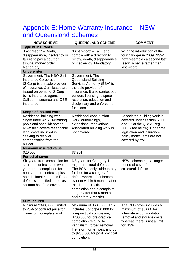# Appendix E: Home Warranty Insurance – NSW and Queensland Schemes

| <b>NSW SCHEME</b>                                                                                                                                                                                                                | <b>QUEENSLAND SCHEME</b>                                                                                                                                                                                                                                                                            | <b>COMMENT</b>                                                                                                                                                                                   |
|----------------------------------------------------------------------------------------------------------------------------------------------------------------------------------------------------------------------------------|-----------------------------------------------------------------------------------------------------------------------------------------------------------------------------------------------------------------------------------------------------------------------------------------------------|--------------------------------------------------------------------------------------------------------------------------------------------------------------------------------------------------|
| <b>Type of insurance</b>                                                                                                                                                                                                         |                                                                                                                                                                                                                                                                                                     |                                                                                                                                                                                                  |
| "Last resort" - Death,<br>disappearance, insolvency or<br>failure to pay a court or<br>tribunal money order.<br>Mandatory.                                                                                                       | "First resort" - Failure to<br>comply with a direction to<br>rectify, death, disappearance<br>or insolvency. Mandatory.                                                                                                                                                                             | With the introduction of the<br>fourth trigger in 2009, NSW<br>now resembles a second last<br>resort scheme rather than<br>last resort.                                                          |
| <b>Underwriter</b>                                                                                                                                                                                                               |                                                                                                                                                                                                                                                                                                     |                                                                                                                                                                                                  |
| Government. The NSW Self<br><b>Insurance Corporation</b><br>(SICorp) is the sole provider<br>of insurance. Certificates are<br>issued on behalf of SICorp<br>by its insurance agents<br>Calliden Insurance and QBE<br>Insurance. | Government. The<br><b>Queensland Building</b><br>Services Authority (BSA) is<br>the sole provider of<br>insurance. It also carries out<br>builders licensing, dispute<br>resolution, education and<br>disciplinary and enforcement<br>functions.                                                    |                                                                                                                                                                                                  |
| <b>Scope of insured work</b>                                                                                                                                                                                                     |                                                                                                                                                                                                                                                                                                     |                                                                                                                                                                                                  |
| Residential building work,<br>single trade work, swimming<br>pools and spas, kit homes.<br>NSW also covers reasonable<br>legal costs incurred in<br>seeking to recover<br>compensation from the<br>builder.                      | <b>Residential construction</b><br>work, outbuildings,<br>extensions, renovations.<br>Associated building work is<br>not covered.                                                                                                                                                                   | Associated building work is<br>covered under section 5, 11<br>and 12 of the QBSA Reg<br>2003 (see below). Under the<br>legislation and insurance<br>policy many items are not<br>covered by hwi. |
| <b>Minimum insured value</b>                                                                                                                                                                                                     |                                                                                                                                                                                                                                                                                                     |                                                                                                                                                                                                  |
| \$20,000                                                                                                                                                                                                                         | \$3,301                                                                                                                                                                                                                                                                                             |                                                                                                                                                                                                  |
| <b>Period of cover</b>                                                                                                                                                                                                           |                                                                                                                                                                                                                                                                                                     |                                                                                                                                                                                                  |
| Six years from completion for<br>structural defects and two<br>years from completion for<br>non-structural defects, plus<br>an additional 6 months if the<br>defect is identified in the last<br>six months of the cover.        | 6.5 years for Category 1,<br>major structural defects.<br>The BSA is only liable to pay<br>for loss for a category 2<br>defect where it first becomes<br>evident within 6 months after<br>the date of practical<br>completion and a complaint<br>lodged after that 6 months<br>and before 7 months. | NSW scheme has a longer<br>period of cover for non-<br>structural defects                                                                                                                        |
| <b>Sum insured</b>                                                                                                                                                                                                               |                                                                                                                                                                                                                                                                                                     |                                                                                                                                                                                                  |
| Minimum \$340,000. Limited<br>to 20% of contract price for<br>claims of incomplete work.                                                                                                                                         | Maximum of \$600,000. This<br>includes up to \$200,000 for<br>pre-practical completion,<br>\$200,000 for pre-practical<br>completion relating to<br>vandalism, forced removal,<br>fire, storm or tempest and up<br>to \$200,000 for post practical<br>completion.                                   | The QLD cover includes a<br>maximum of \$5,000 for<br>alternate accommodation,<br>removal and storage costs<br>whereas there is not a limit<br>for NSW.                                          |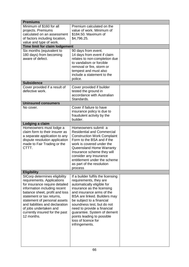| <b>Premiums</b>                                             |                                                         |  |
|-------------------------------------------------------------|---------------------------------------------------------|--|
| Minimum of \$160 for all                                    | Premium calculated on the                               |  |
| projects. Premiums                                          | value of work. Minimum of                               |  |
| calculated on an assessment                                 | \$184.50. Maximum of                                    |  |
| of factors including location,                              | \$4,796.25.                                             |  |
| value and type of work.                                     |                                                         |  |
| Time limit for claim lodgement                              |                                                         |  |
| Six months (equivalent to                                   | 90 days from event.                                     |  |
| 180 days) from becoming                                     | 14 days from event if claim                             |  |
| aware of defect.                                            | relates to non-completion due                           |  |
|                                                             | to vandalism or forcible                                |  |
|                                                             | removal or fire, storm or                               |  |
|                                                             | tempest and must also                                   |  |
|                                                             | include a statement to the                              |  |
| <b>Subsidence</b>                                           | police.                                                 |  |
|                                                             |                                                         |  |
| Cover provided if a result of<br>defective work.            | Cover provided if builder                               |  |
|                                                             | tested the ground in<br>accordance with Australian      |  |
|                                                             | Standards.                                              |  |
| <b>Uninsured consumers</b>                                  |                                                         |  |
| No cover.                                                   | Cover if failure to have                                |  |
|                                                             | insurance policy is due to                              |  |
|                                                             | fraudulent activity by the                              |  |
|                                                             | builder.                                                |  |
| Lodging a claim                                             |                                                         |  |
| Homeowners must lodge a                                     | Homeowners submit a                                     |  |
| claim form to their insurer as                              | <b>Residential and Commercial</b>                       |  |
| a separate application to any                               | <b>Construction Work Complaint</b>                      |  |
| dispute resolution application                              | Form to the BSA and if the                              |  |
| made to Fair Trading or the                                 | work is covered under the                               |  |
| CTTT.                                                       | Queensland Home Warranty                                |  |
|                                                             | Insurance scheme they will                              |  |
|                                                             | consider any insurance                                  |  |
|                                                             | entitlement under the scheme                            |  |
|                                                             | as part of the resolution                               |  |
|                                                             | process                                                 |  |
| <b>Eligibility</b>                                          |                                                         |  |
| SICorp determines eligibility                               | If a builder fulfils the licensing                      |  |
| requirements. Applications                                  | requirements, they are                                  |  |
| for insurance require detailed                              | automatically eligible for                              |  |
| information including recent                                | insurance as the licensing<br>and insurance arms of the |  |
| balance sheet, profit and loss<br>statement or tax returns, | BSA are linked. Builders may                            |  |
| statement of personal assets                                |                                                         |  |
| and liabilities and declaration                             | be subject to a financial<br>soundness test, but do not |  |
| of jobs undertaken and                                      | need to provide a financial                             |  |
| currently insured for the past                              | guarantee. System of demerit                            |  |
| 12 months.                                                  | points leading to possible                              |  |
|                                                             | loss of licence for                                     |  |
|                                                             | infringements.                                          |  |
|                                                             |                                                         |  |
|                                                             |                                                         |  |
|                                                             |                                                         |  |
|                                                             |                                                         |  |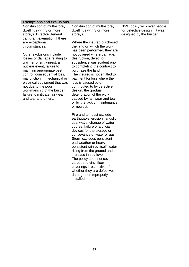| <b>Exemptions and exclusions</b> |                                  |                                |
|----------------------------------|----------------------------------|--------------------------------|
| Construction of multi-storey     | Construction of multi-storey     | NSW policy will cover people   |
| dwellings with 3 or more         | dwellings with 3 or more         | for defective design if it was |
| storeys. Director-General        | storeys.                         | designed by the builder.       |
| can grant exemption if there     |                                  |                                |
| are exceptional                  | Where the insured purchased      |                                |
| circumstances.                   | the land on which the work       |                                |
|                                  | has been performed, they are     |                                |
| Other exclusions include         | not covered where damage,        |                                |
| losses or damage relating to     | destruction, defect or           |                                |
| war, terrorism, unrest, a        | subsidence was evident prior     |                                |
| nuclear event, failure to        | to completing the contract to    |                                |
| maintain appropriate pest        | purchase the land.               |                                |
| control, consequential loss,     | The insured is not entitled to   |                                |
| malfunction in mechanical or     | payment for loss where the       |                                |
| electrical equipment that was    | loss is caused by or             |                                |
| not due to the poor              | contributed to by defective      |                                |
| workmanship of the builder,      | design, the gradual              |                                |
| failure to mitigate fair wear    | deterioration of the work        |                                |
| and tear and others.             | caused by fair wear and tear     |                                |
|                                  | or by the lack of maintenance    |                                |
|                                  | or neglect.                      |                                |
|                                  |                                  |                                |
|                                  | Fire and tempest exclude         |                                |
|                                  | earthquake, erosion, landslip,   |                                |
|                                  | tidal wave, change of water      |                                |
|                                  | course, failure of artificial    |                                |
|                                  | devices for the storage or       |                                |
|                                  | conveyance of water or gas.      |                                |
|                                  | Storm excludes persistent        |                                |
|                                  | bad weather or heavy             |                                |
|                                  | persistent rain by itself, water |                                |
|                                  | rising from the ground and an    |                                |
|                                  | increase in sea level.           |                                |
|                                  | The policy does not cover        |                                |
|                                  | carpet and vinyl floor           |                                |
|                                  | coverings irrespective of        |                                |
|                                  | whether they are defective,      |                                |
|                                  | damaged or improperly            |                                |
|                                  | installed.                       |                                |